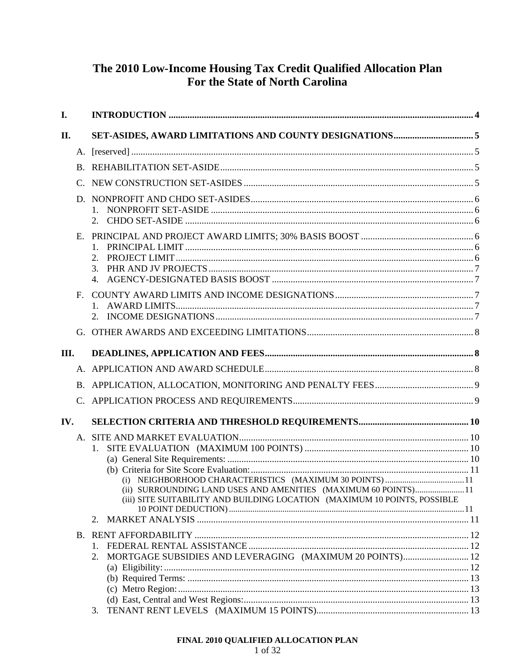# The 2010 Low-Income Housing Tax Credit Qualified Allocation Plan For the State of North Carolina

| I.                    |                                                                                                                                             |  |
|-----------------------|---------------------------------------------------------------------------------------------------------------------------------------------|--|
| II.                   |                                                                                                                                             |  |
|                       |                                                                                                                                             |  |
|                       |                                                                                                                                             |  |
| C.                    |                                                                                                                                             |  |
|                       |                                                                                                                                             |  |
|                       |                                                                                                                                             |  |
| Е.                    |                                                                                                                                             |  |
|                       |                                                                                                                                             |  |
|                       | 3.                                                                                                                                          |  |
|                       |                                                                                                                                             |  |
| $F_{\rm{L}}$          |                                                                                                                                             |  |
|                       |                                                                                                                                             |  |
|                       |                                                                                                                                             |  |
| III.                  |                                                                                                                                             |  |
|                       |                                                                                                                                             |  |
|                       |                                                                                                                                             |  |
|                       |                                                                                                                                             |  |
| $\mathcal{C}_{\cdot}$ |                                                                                                                                             |  |
| IV.                   |                                                                                                                                             |  |
|                       |                                                                                                                                             |  |
|                       | $1_{-}$                                                                                                                                     |  |
|                       |                                                                                                                                             |  |
|                       |                                                                                                                                             |  |
|                       | (ii) SURROUNDING LAND USES AND AMENITIES (MAXIMUM 60 POINTS)11<br>(iii) SITE SUITABILITY AND BUILDING LOCATION (MAXIMUM 10 POINTS, POSSIBLE |  |
|                       | 2.                                                                                                                                          |  |
|                       |                                                                                                                                             |  |
|                       |                                                                                                                                             |  |
|                       | MORTGAGE SUBSIDIES AND LEVERAGING (MAXIMUM 20 POINTS) 12<br>2.                                                                              |  |
|                       |                                                                                                                                             |  |
|                       |                                                                                                                                             |  |
|                       |                                                                                                                                             |  |
|                       | 3.                                                                                                                                          |  |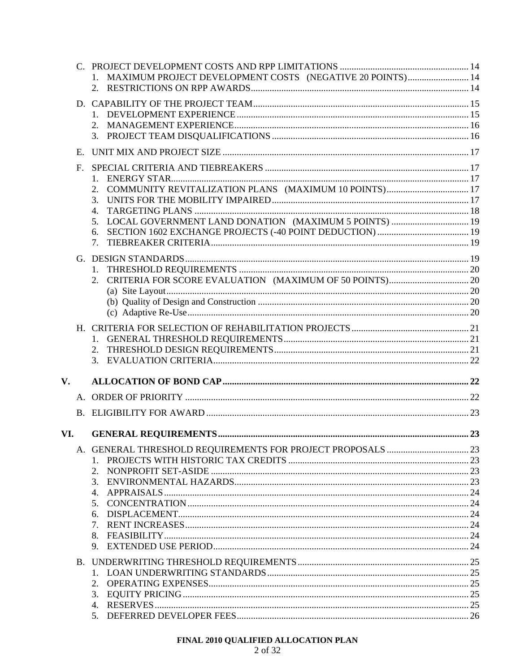|               |                | 1. MAXIMUM PROJECT DEVELOPMENT COSTS (NEGATIVE 20 POINTS) 14 |  |
|---------------|----------------|--------------------------------------------------------------|--|
|               |                | $1_{\cdot}$<br>$2_{-}$                                       |  |
|               | E.             |                                                              |  |
|               | F <sub>r</sub> | 2.<br>3.<br>4.<br>5.<br>6.<br>7.                             |  |
|               |                |                                                              |  |
|               |                |                                                              |  |
|               |                |                                                              |  |
| $V_{\bullet}$ |                |                                                              |  |
|               |                |                                                              |  |
|               |                |                                                              |  |
| VI.           |                |                                                              |  |
|               |                | 2.<br>3.<br>4.<br>5.<br>6.<br>7.<br>8.                       |  |

# FINAL 2010 QUALIFIED ALLOCATION PLAN<br>  $2$  of  $32\,$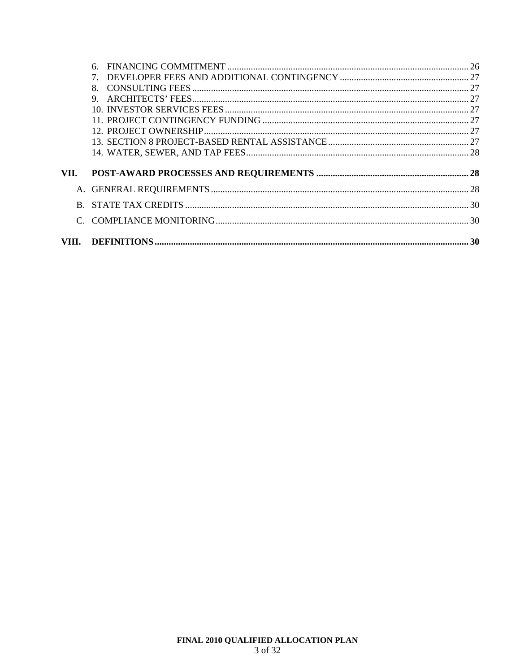|      | 6 |  |
|------|---|--|
|      |   |  |
|      | 8 |  |
|      | 9 |  |
|      |   |  |
|      |   |  |
|      |   |  |
|      |   |  |
|      |   |  |
|      |   |  |
| VII. |   |  |
|      |   |  |
|      |   |  |
| R.   |   |  |
|      |   |  |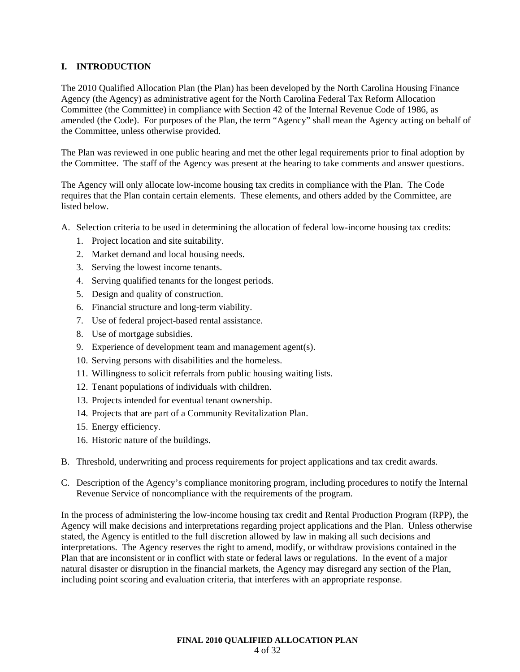# **I. INTRODUCTION**

The 2010 Qualified Allocation Plan (the Plan) has been developed by the North Carolina Housing Finance Agency (the Agency) as administrative agent for the North Carolina Federal Tax Reform Allocation Committee (the Committee) in compliance with Section 42 of the Internal Revenue Code of 1986, as amended (the Code). For purposes of the Plan, the term "Agency" shall mean the Agency acting on behalf of the Committee, unless otherwise provided.

The Plan was reviewed in one public hearing and met the other legal requirements prior to final adoption by the Committee. The staff of the Agency was present at the hearing to take comments and answer questions.

The Agency will only allocate low-income housing tax credits in compliance with the Plan. The Code requires that the Plan contain certain elements. These elements, and others added by the Committee, are listed below.

A. Selection criteria to be used in determining the allocation of federal low-income housing tax credits:

- 1. Project location and site suitability.
- 2. Market demand and local housing needs.
- 3. Serving the lowest income tenants.
- 4. Serving qualified tenants for the longest periods.
- 5. Design and quality of construction.
- 6. Financial structure and long-term viability.
- 7. Use of federal project-based rental assistance.
- 8. Use of mortgage subsidies.
- 9. Experience of development team and management agent(s).
- 10. Serving persons with disabilities and the homeless.
- 11. Willingness to solicit referrals from public housing waiting lists.
- 12. Tenant populations of individuals with children.
- 13. Projects intended for eventual tenant ownership.
- 14. Projects that are part of a Community Revitalization Plan.
- 15. Energy efficiency.
- 16. Historic nature of the buildings.
- B. Threshold, underwriting and process requirements for project applications and tax credit awards.
- C. Description of the Agency's compliance monitoring program, including procedures to notify the Internal Revenue Service of noncompliance with the requirements of the program.

In the process of administering the low-income housing tax credit and Rental Production Program (RPP), the Agency will make decisions and interpretations regarding project applications and the Plan. Unless otherwise stated, the Agency is entitled to the full discretion allowed by law in making all such decisions and interpretations. The Agency reserves the right to amend, modify, or withdraw provisions contained in the Plan that are inconsistent or in conflict with state or federal laws or regulations. In the event of a major natural disaster or disruption in the financial markets, the Agency may disregard any section of the Plan, including point scoring and evaluation criteria, that interferes with an appropriate response.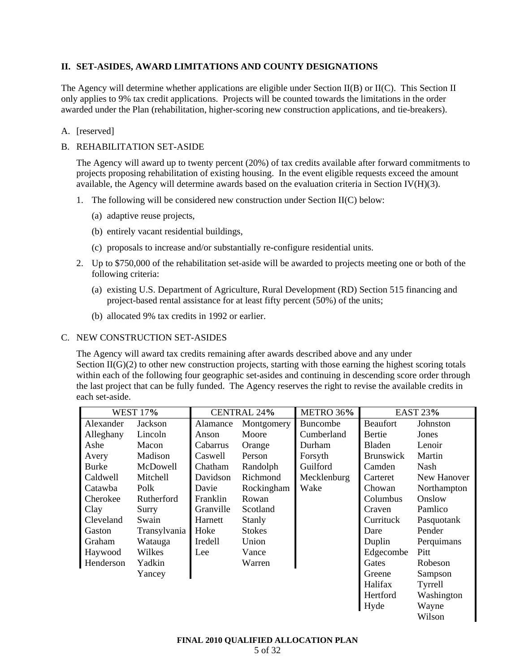# **II. SET-ASIDES, AWARD LIMITATIONS AND COUNTY DESIGNATIONS**

The Agency will determine whether applications are eligible under Section II(B) or II(C). This Section II only applies to 9% tax credit applications. Projects will be counted towards the limitations in the order awarded under the Plan (rehabilitation, higher-scoring new construction applications, and tie-breakers).

# A. [reserved]

# B. REHABILITATION SET-ASIDE

The Agency will award up to twenty percent (20%) of tax credits available after forward commitments to projects proposing rehabilitation of existing housing. In the event eligible requests exceed the amount available, the Agency will determine awards based on the evaluation criteria in Section IV(H)(3).

- 1. The following will be considered new construction under Section II(C) below:
	- (a) adaptive reuse projects,
	- (b) entirely vacant residential buildings,
	- (c) proposals to increase and/or substantially re-configure residential units.
- 2. Up to \$750,000 of the rehabilitation set-aside will be awarded to projects meeting one or both of the following criteria:
	- (a) existing U.S. Department of Agriculture, Rural Development (RD) Section 515 financing and project-based rental assistance for at least fifty percent (50%) of the units;
	- (b) allocated 9% tax credits in 1992 or earlier.

# C. NEW CONSTRUCTION SET-ASIDES

The Agency will award tax credits remaining after awards described above and any under Section  $II(G)(2)$  to other new construction projects, starting with those earning the highest scoring totals within each of the following four geographic set-asides and continuing in descending score order through the last project that can be fully funded. The Agency reserves the right to revise the available credits in each set-aside.

| <b>WEST 17%</b> |              | <b>CENTRAL 24%</b> |               | METRO 36%       | <b>EAST 23%</b>  |             |
|-----------------|--------------|--------------------|---------------|-----------------|------------------|-------------|
| Alexander       | Jackson      | Alamance           | Montgomery    | <b>Buncombe</b> | <b>Beaufort</b>  | Johnston    |
| Alleghany       | Lincoln      | Anson              | Moore         | Cumberland      | Bertie           | Jones       |
| Ashe            | Macon        | Cabarrus           | Orange        | Durham          | Bladen           | Lenoir      |
| Avery           | Madison      | Caswell            | Person        | Forsyth         | <b>Brunswick</b> | Martin      |
| <b>Burke</b>    | McDowell     | Chatham            | Randolph      | Guilford        | Camden           | Nash        |
| Caldwell        | Mitchell     | Davidson           | Richmond      | Mecklenburg     | Carteret         | New Hanover |
| Catawba         | Polk         | Davie              | Rockingham    | Wake            | Chowan           | Northampton |
| Cherokee        | Rutherford   | Franklin           | Rowan         |                 | Columbus         | Onslow      |
| Clay            | Surry        | Granville          | Scotland      |                 | Craven           | Pamlico     |
| Cleveland       | Swain        | Harnett            | Stanly        |                 | Currituck        | Pasquotank  |
| Gaston          | Transylvania | Hoke               | <b>Stokes</b> |                 | Dare             | Pender      |
| Graham          | Watauga      | Iredell            | Union         |                 | Duplin           | Perquimans  |
| Haywood         | Wilkes       | Lee                | Vance         |                 | Edgecombe        | Pitt        |
| Henderson       | Yadkin       |                    | Warren        |                 | Gates            | Robeson     |
|                 | Yancey       |                    |               |                 | Greene           | Sampson     |
|                 |              |                    |               |                 | Halifax          | Tyrrell     |
|                 |              |                    |               |                 | Hertford         | Washington  |
|                 |              |                    |               |                 | Hyde             | Wayne       |
|                 |              |                    |               |                 |                  | Wilson      |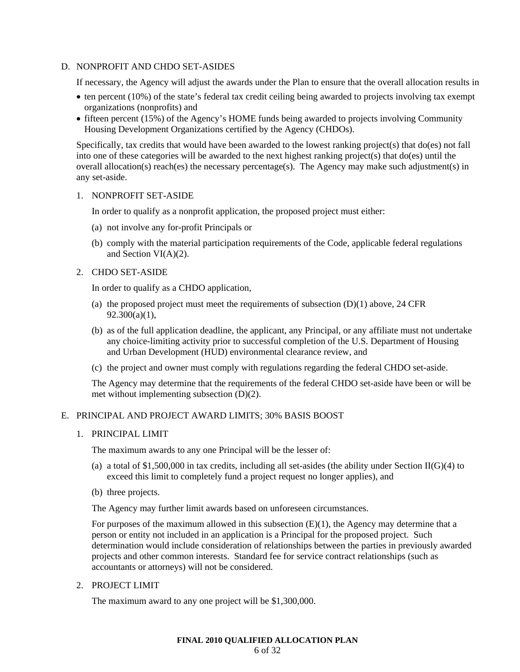#### D. NONPROFIT AND CHDO SET-ASIDES

If necessary, the Agency will adjust the awards under the Plan to ensure that the overall allocation results in

- ten percent (10%) of the state's federal tax credit ceiling being awarded to projects involving tax exempt organizations (nonprofits) and
- fifteen percent (15%) of the Agency's HOME funds being awarded to projects involving Community Housing Development Organizations certified by the Agency (CHDOs).

Specifically, tax credits that would have been awarded to the lowest ranking project(s) that do(es) not fall into one of these categories will be awarded to the next highest ranking project(s) that do(es) until the overall allocation(s) reach(es) the necessary percentage(s). The Agency may make such adjustment(s) in any set-aside.

#### 1. NONPROFIT SET-ASIDE

In order to qualify as a nonprofit application, the proposed project must either:

- (a) not involve any for-profit Principals or
- (b) comply with the material participation requirements of the Code, applicable federal regulations and Section VI(A)(2).

# 2. CHDO SET-ASIDE

In order to qualify as a CHDO application,

- (a) the proposed project must meet the requirements of subsection  $(D)(1)$  above, 24 CFR  $92.300(a)(1)$ ,
- (b) as of the full application deadline, the applicant, any Principal, or any affiliate must not undertake any choice-limiting activity prior to successful completion of the U.S. Department of Housing and Urban Development (HUD) environmental clearance review, and
- (c) the project and owner must comply with regulations regarding the federal CHDO set-aside.

The Agency may determine that the requirements of the federal CHDO set-aside have been or will be met without implementing subsection (D)(2).

# E. PRINCIPAL AND PROJECT AWARD LIMITS; 30% BASIS BOOST

#### 1. PRINCIPAL LIMIT

The maximum awards to any one Principal will be the lesser of:

- (a) a total of \$1,500,000 in tax credits, including all set-asides (the ability under Section II(G)(4) to exceed this limit to completely fund a project request no longer applies), and
- (b) three projects.

The Agency may further limit awards based on unforeseen circumstances.

For purposes of the maximum allowed in this subsection  $(E)(1)$ , the Agency may determine that a person or entity not included in an application is a Principal for the proposed project. Such determination would include consideration of relationships between the parties in previously awarded projects and other common interests. Standard fee for service contract relationships (such as accountants or attorneys) will not be considered.

2. PROJECT LIMIT

The maximum award to any one project will be \$1,300,000.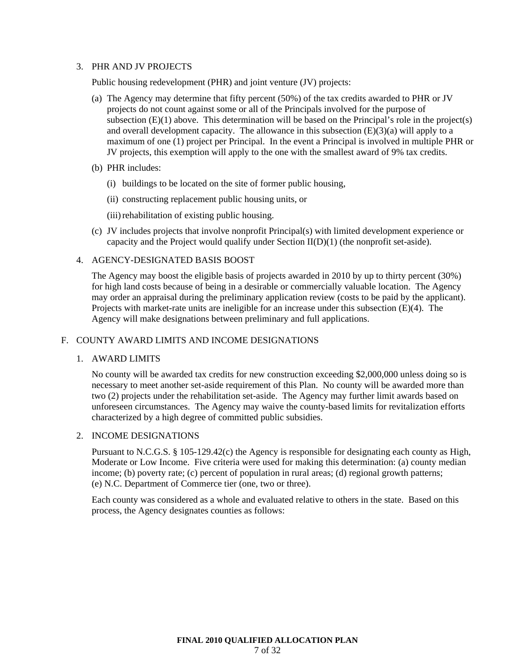#### 3. PHR AND JV PROJECTS

Public housing redevelopment (PHR) and joint venture (JV) projects:

- (a) The Agency may determine that fifty percent (50%) of the tax credits awarded to PHR or JV projects do not count against some or all of the Principals involved for the purpose of subsection  $(E)(1)$  above. This determination will be based on the Principal's role in the project(s) and overall development capacity. The allowance in this subsection  $(E)(3)(a)$  will apply to a maximum of one (1) project per Principal. In the event a Principal is involved in multiple PHR or JV projects, this exemption will apply to the one with the smallest award of 9% tax credits.
- (b) PHR includes:
	- (i) buildings to be located on the site of former public housing,
	- (ii) constructing replacement public housing units, or
	- (iii) rehabilitation of existing public housing.
- (c) JV includes projects that involve nonprofit Principal(s) with limited development experience or capacity and the Project would qualify under Section II(D)(1) (the nonprofit set-aside).

## 4. AGENCY-DESIGNATED BASIS BOOST

The Agency may boost the eligible basis of projects awarded in 2010 by up to thirty percent (30%) for high land costs because of being in a desirable or commercially valuable location. The Agency may order an appraisal during the preliminary application review (costs to be paid by the applicant). Projects with market-rate units are ineligible for an increase under this subsection (E)(4). The Agency will make designations between preliminary and full applications.

# F. COUNTY AWARD LIMITS AND INCOME DESIGNATIONS

# 1. AWARD LIMITS

No county will be awarded tax credits for new construction exceeding \$2,000,000 unless doing so is necessary to meet another set-aside requirement of this Plan. No county will be awarded more than two (2) projects under the rehabilitation set-aside. The Agency may further limit awards based on unforeseen circumstances. The Agency may waive the county-based limits for revitalization efforts characterized by a high degree of committed public subsidies.

## 2. INCOME DESIGNATIONS

Pursuant to N.C.G.S. § 105-129.42(c) the Agency is responsible for designating each county as High, Moderate or Low Income. Five criteria were used for making this determination: (a) county median income; (b) poverty rate; (c) percent of population in rural areas; (d) regional growth patterns; (e) N.C. Department of Commerce tier (one, two or three).

Each county was considered as a whole and evaluated relative to others in the state. Based on this process, the Agency designates counties as follows: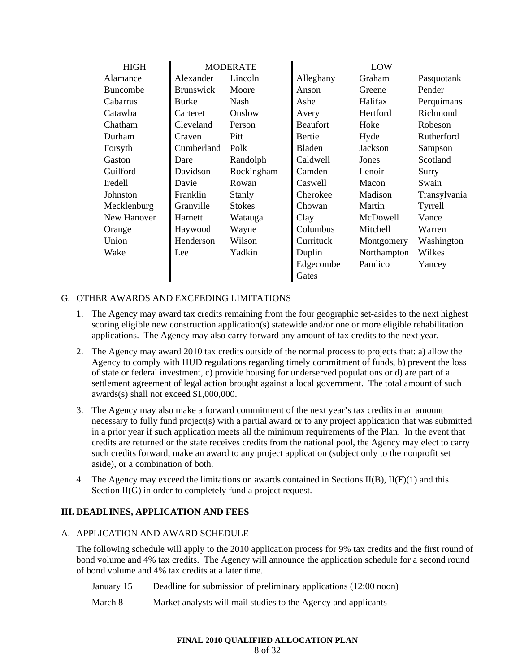| <b>HIGH</b><br><b>MODERATE</b> |                  | LOW           |                 |             |              |
|--------------------------------|------------------|---------------|-----------------|-------------|--------------|
| Alamance                       | Alexander        | Lincoln       | Alleghany       | Graham      | Pasquotank   |
| Buncombe                       | <b>Brunswick</b> | Moore         | Anson           | Greene      | Pender       |
| Cabarrus                       | Burke            | Nash          | Ashe            | Halifax     | Perquimans   |
| Catawba                        | Carteret         | Onslow        | Avery           | Hertford    | Richmond     |
| Chatham                        | Cleveland        | Person        | <b>Beaufort</b> | Hoke        | Robeson      |
| Durham                         | Craven           | Pitt          | Bertie          | Hyde        | Rutherford   |
| Forsyth                        | Cumberland       | Polk          | Bladen          | Jackson     | Sampson      |
| Gaston                         | Dare             | Randolph      | Caldwell        | Jones       | Scotland     |
| Guilford                       | Davidson         | Rockingham    | Camden          | Lenoir      | Surry        |
| Iredell                        | Davie            | Rowan         | Caswell         | Macon       | Swain        |
| Johnston                       | Franklin         | Stanly        | Cherokee        | Madison     | Transylvania |
| Mecklenburg                    | Granville        | <b>Stokes</b> | Chowan          | Martin      | Tyrrell      |
| New Hanover                    | Harnett          | Watauga       | Clay            | McDowell    | Vance        |
| Orange                         | Haywood          | Wayne         | Columbus        | Mitchell    | Warren       |
| Union                          | Henderson        | Wilson        | Currituck       | Montgomery  | Washington   |
| Wake                           | Lee              | Yadkin        | Duplin          | Northampton | Wilkes       |
|                                |                  |               | Edgecombe       | Pamlico     | Yancey       |
|                                |                  |               | Gates           |             |              |

# G. OTHER AWARDS AND EXCEEDING LIMITATIONS

- 1. The Agency may award tax credits remaining from the four geographic set-asides to the next highest scoring eligible new construction application(s) statewide and/or one or more eligible rehabilitation applications. The Agency may also carry forward any amount of tax credits to the next year.
- 2. The Agency may award 2010 tax credits outside of the normal process to projects that: a) allow the Agency to comply with HUD regulations regarding timely commitment of funds, b) prevent the loss of state or federal investment, c) provide housing for underserved populations or d) are part of a settlement agreement of legal action brought against a local government. The total amount of such awards(s) shall not exceed \$1,000,000.
- 3. The Agency may also make a forward commitment of the next year's tax credits in an amount necessary to fully fund project(s) with a partial award or to any project application that was submitted in a prior year if such application meets all the minimum requirements of the Plan. In the event that credits are returned or the state receives credits from the national pool, the Agency may elect to carry such credits forward, make an award to any project application (subject only to the nonprofit set aside), or a combination of both.
- 4. The Agency may exceed the limitations on awards contained in Sections  $II(B)$ ,  $II(F)(1)$  and this Section II(G) in order to completely fund a project request.

# **III. DEADLINES, APPLICATION AND FEES**

#### A. APPLICATION AND AWARD SCHEDULE

The following schedule will apply to the 2010 application process for 9% tax credits and the first round of bond volume and 4% tax credits. The Agency will announce the application schedule for a second round of bond volume and 4% tax credits at a later time.

January 15 Deadline for submission of preliminary applications (12:00 noon)

March 8 Market analysts will mail studies to the Agency and applicants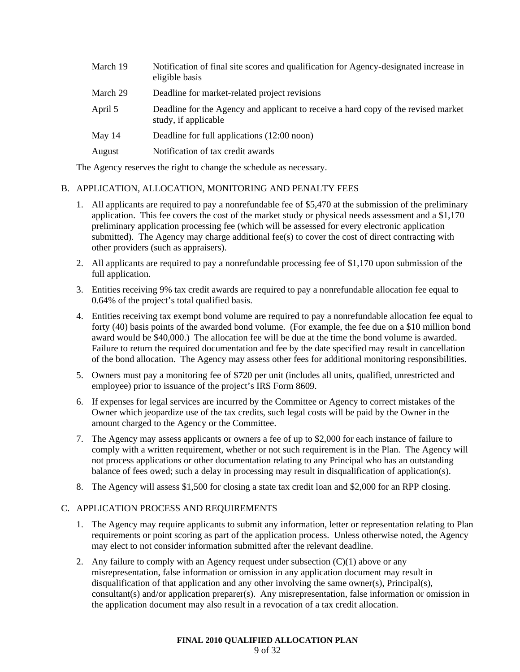| March 19 | Notification of final site scores and qualification for Agency-designated increase in<br>eligible basis    |
|----------|------------------------------------------------------------------------------------------------------------|
| March 29 | Deadline for market-related project revisions                                                              |
| April 5  | Deadline for the Agency and applicant to receive a hard copy of the revised market<br>study, if applicable |
| May 14   | Deadline for full applications (12:00 noon)                                                                |
| August   | Notification of tax credit awards                                                                          |

The Agency reserves the right to change the schedule as necessary.

# B. APPLICATION, ALLOCATION, MONITORING AND PENALTY FEES

- 1. All applicants are required to pay a nonrefundable fee of \$5,470 at the submission of the preliminary application. This fee covers the cost of the market study or physical needs assessment and a \$1,170 preliminary application processing fee (which will be assessed for every electronic application submitted). The Agency may charge additional fee(s) to cover the cost of direct contracting with other providers (such as appraisers).
- 2. All applicants are required to pay a nonrefundable processing fee of \$1,170 upon submission of the full application.
- 3. Entities receiving 9% tax credit awards are required to pay a nonrefundable allocation fee equal to 0.64% of the project's total qualified basis.
- 4. Entities receiving tax exempt bond volume are required to pay a nonrefundable allocation fee equal to forty (40) basis points of the awarded bond volume. (For example, the fee due on a \$10 million bond award would be \$40,000.) The allocation fee will be due at the time the bond volume is awarded. Failure to return the required documentation and fee by the date specified may result in cancellation of the bond allocation. The Agency may assess other fees for additional monitoring responsibilities.
- 5. Owners must pay a monitoring fee of \$720 per unit (includes all units, qualified, unrestricted and employee) prior to issuance of the project's IRS Form 8609.
- 6. If expenses for legal services are incurred by the Committee or Agency to correct mistakes of the Owner which jeopardize use of the tax credits, such legal costs will be paid by the Owner in the amount charged to the Agency or the Committee.
- 7. The Agency may assess applicants or owners a fee of up to \$2,000 for each instance of failure to comply with a written requirement, whether or not such requirement is in the Plan. The Agency will not process applications or other documentation relating to any Principal who has an outstanding balance of fees owed; such a delay in processing may result in disqualification of application(s).
- 8. The Agency will assess \$1,500 for closing a state tax credit loan and \$2,000 for an RPP closing.

# C. APPLICATION PROCESS AND REQUIREMENTS

- 1. The Agency may require applicants to submit any information, letter or representation relating to Plan requirements or point scoring as part of the application process. Unless otherwise noted, the Agency may elect to not consider information submitted after the relevant deadline.
- 2. Any failure to comply with an Agency request under subsection  $(C)(1)$  above or any misrepresentation, false information or omission in any application document may result in disqualification of that application and any other involving the same owner(s), Principal(s), consultant(s) and/or application preparer(s). Any misrepresentation, false information or omission in the application document may also result in a revocation of a tax credit allocation.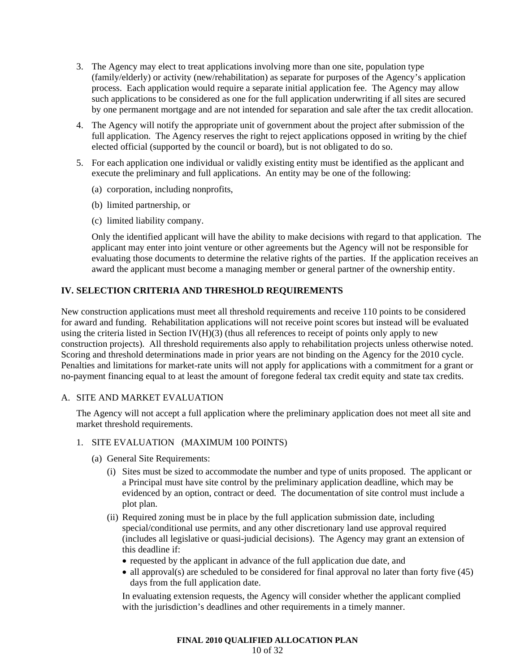- 3. The Agency may elect to treat applications involving more than one site, population type (family/elderly) or activity (new/rehabilitation) as separate for purposes of the Agency's application process. Each application would require a separate initial application fee. The Agency may allow such applications to be considered as one for the full application underwriting if all sites are secured by one permanent mortgage and are not intended for separation and sale after the tax credit allocation.
- 4. The Agency will notify the appropriate unit of government about the project after submission of the full application. The Agency reserves the right to reject applications opposed in writing by the chief elected official (supported by the council or board), but is not obligated to do so.
- 5. For each application one individual or validly existing entity must be identified as the applicant and execute the preliminary and full applications. An entity may be one of the following:
	- (a) corporation, including nonprofits,
	- (b) limited partnership, or
	- (c) limited liability company.

Only the identified applicant will have the ability to make decisions with regard to that application. The applicant may enter into joint venture or other agreements but the Agency will not be responsible for evaluating those documents to determine the relative rights of the parties. If the application receives an award the applicant must become a managing member or general partner of the ownership entity.

# **IV. SELECTION CRITERIA AND THRESHOLD REQUIREMENTS**

New construction applications must meet all threshold requirements and receive 110 points to be considered for award and funding. Rehabilitation applications will not receive point scores but instead will be evaluated using the criteria listed in Section IV( $H$ )(3) (thus all references to receipt of points only apply to new construction projects). All threshold requirements also apply to rehabilitation projects unless otherwise noted. Scoring and threshold determinations made in prior years are not binding on the Agency for the 2010 cycle. Penalties and limitations for market-rate units will not apply for applications with a commitment for a grant or no-payment financing equal to at least the amount of foregone federal tax credit equity and state tax credits.

#### A. SITE AND MARKET EVALUATION

The Agency will not accept a full application where the preliminary application does not meet all site and market threshold requirements.

#### 1. SITE EVALUATION (MAXIMUM 100 POINTS)

- (a) General Site Requirements:
	- (i) Sites must be sized to accommodate the number and type of units proposed. The applicant or a Principal must have site control by the preliminary application deadline, which may be evidenced by an option, contract or deed. The documentation of site control must include a plot plan.
	- (ii) Required zoning must be in place by the full application submission date, including special/conditional use permits, and any other discretionary land use approval required (includes all legislative or quasi-judicial decisions). The Agency may grant an extension of this deadline if:
		- requested by the applicant in advance of the full application due date, and
		- all approval(s) are scheduled to be considered for final approval no later than forty five (45) days from the full application date.

In evaluating extension requests, the Agency will consider whether the applicant complied with the jurisdiction's deadlines and other requirements in a timely manner.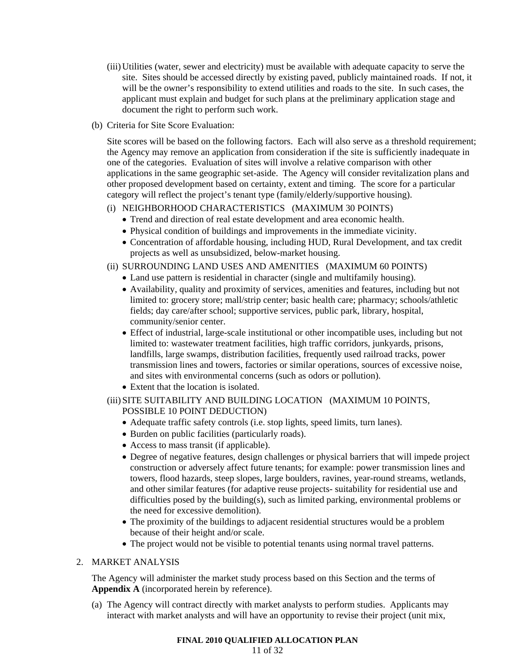- (iii) Utilities (water, sewer and electricity) must be available with adequate capacity to serve the site. Sites should be accessed directly by existing paved, publicly maintained roads. If not, it will be the owner's responsibility to extend utilities and roads to the site. In such cases, the applicant must explain and budget for such plans at the preliminary application stage and document the right to perform such work.
- (b) Criteria for Site Score Evaluation:

Site scores will be based on the following factors. Each will also serve as a threshold requirement; the Agency may remove an application from consideration if the site is sufficiently inadequate in one of the categories. Evaluation of sites will involve a relative comparison with other applications in the same geographic set-aside. The Agency will consider revitalization plans and other proposed development based on certainty, extent and timing. The score for a particular category will reflect the project's tenant type (family/elderly/supportive housing).

# (i) NEIGHBORHOOD CHARACTERISTICS (MAXIMUM 30 POINTS)

- Trend and direction of real estate development and area economic health.
- Physical condition of buildings and improvements in the immediate vicinity.
- Concentration of affordable housing, including HUD, Rural Development, and tax credit projects as well as unsubsidized, below-market housing.
- (ii) SURROUNDING LAND USES AND AMENITIES (MAXIMUM 60 POINTS)
	- Land use pattern is residential in character (single and multifamily housing).
	- Availability, quality and proximity of services, amenities and features, including but not limited to: grocery store; mall/strip center; basic health care; pharmacy; schools/athletic fields; day care/after school; supportive services, public park, library, hospital, community/senior center.
	- Effect of industrial, large-scale institutional or other incompatible uses, including but not limited to: wastewater treatment facilities, high traffic corridors, junkyards, prisons, landfills, large swamps, distribution facilities, frequently used railroad tracks, power transmission lines and towers, factories or similar operations, sources of excessive noise, and sites with environmental concerns (such as odors or pollution).
	- Extent that the location is isolated.

# (iii) SITE SUITABILITY AND BUILDING LOCATION (MAXIMUM 10 POINTS, POSSIBLE 10 POINT DEDUCTION)

- Adequate traffic safety controls (i.e. stop lights, speed limits, turn lanes).
- Burden on public facilities (particularly roads).
- Access to mass transit (if applicable).
- Degree of negative features, design challenges or physical barriers that will impede project construction or adversely affect future tenants; for example: power transmission lines and towers, flood hazards, steep slopes, large boulders, ravines, year-round streams, wetlands, and other similar features (for adaptive reuse projects- suitability for residential use and difficulties posed by the building(s), such as limited parking, environmental problems or the need for excessive demolition).
- The proximity of the buildings to adjacent residential structures would be a problem because of their height and/or scale.
- The project would not be visible to potential tenants using normal travel patterns.

# 2. MARKET ANALYSIS

The Agency will administer the market study process based on this Section and the terms of **Appendix A** (incorporated herein by reference).

(a) The Agency will contract directly with market analysts to perform studies. Applicants may interact with market analysts and will have an opportunity to revise their project (unit mix,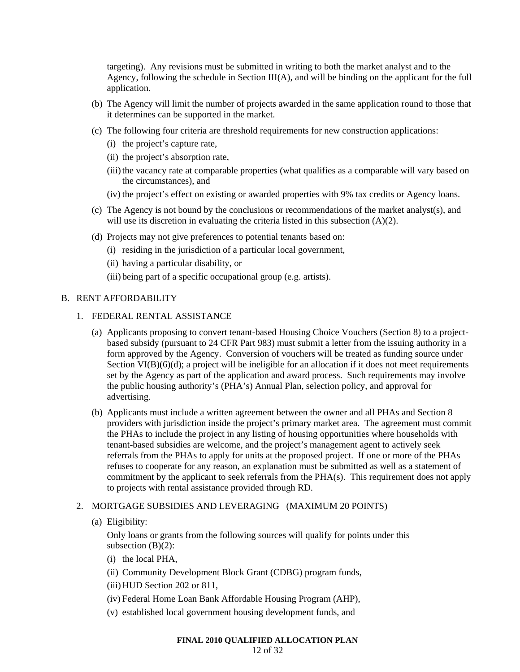targeting). Any revisions must be submitted in writing to both the market analyst and to the Agency, following the schedule in Section III(A), and will be binding on the applicant for the full application.

- (b) The Agency will limit the number of projects awarded in the same application round to those that it determines can be supported in the market.
- (c) The following four criteria are threshold requirements for new construction applications:
	- (i) the project's capture rate,
	- (ii) the project's absorption rate,
	- (iii) the vacancy rate at comparable properties (what qualifies as a comparable will vary based on the circumstances), and
	- (iv) the project's effect on existing or awarded properties with 9% tax credits or Agency loans.
- (c) The Agency is not bound by the conclusions or recommendations of the market analyst(s), and will use its discretion in evaluating the criteria listed in this subsection (A)(2).
- (d) Projects may not give preferences to potential tenants based on:
	- (i) residing in the jurisdiction of a particular local government,
	- (ii) having a particular disability, or
	- (iii) being part of a specific occupational group (e.g. artists).

#### B. RENT AFFORDABILITY

- 1. FEDERAL RENTAL ASSISTANCE
	- (a) Applicants proposing to convert tenant-based Housing Choice Vouchers (Section 8) to a projectbased subsidy (pursuant to 24 CFR Part 983) must submit a letter from the issuing authority in a form approved by the Agency. Conversion of vouchers will be treated as funding source under Section  $VI(B)(6)(d)$ ; a project will be ineligible for an allocation if it does not meet requirements set by the Agency as part of the application and award process. Such requirements may involve the public housing authority's (PHA's) Annual Plan, selection policy, and approval for advertising.
	- (b) Applicants must include a written agreement between the owner and all PHAs and Section 8 providers with jurisdiction inside the project's primary market area. The agreement must commit the PHAs to include the project in any listing of housing opportunities where households with tenant-based subsidies are welcome, and the project's management agent to actively seek referrals from the PHAs to apply for units at the proposed project. If one or more of the PHAs refuses to cooperate for any reason, an explanation must be submitted as well as a statement of commitment by the applicant to seek referrals from the PHA(s). This requirement does not apply to projects with rental assistance provided through RD.

# 2. MORTGAGE SUBSIDIES AND LEVERAGING (MAXIMUM 20 POINTS)

(a) Eligibility:

Only loans or grants from the following sources will qualify for points under this subsection  $(B)(2)$ :

- (i) the local PHA,
- (ii) Community Development Block Grant (CDBG) program funds,
- (iii) HUD Section 202 or 811,
- (iv) Federal Home Loan Bank Affordable Housing Program (AHP),
- (v) established local government housing development funds, and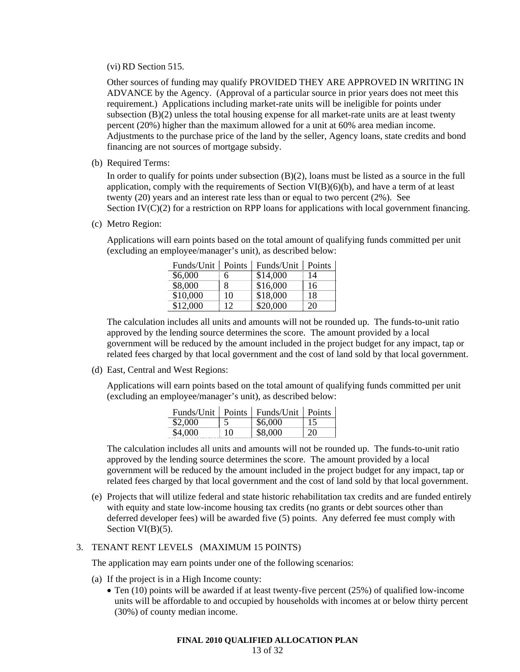(vi) RD Section 515.

Other sources of funding may qualify PROVIDED THEY ARE APPROVED IN WRITING IN ADVANCE by the Agency. (Approval of a particular source in prior years does not meet this requirement.) Applications including market-rate units will be ineligible for points under subsection (B)(2) unless the total housing expense for all market-rate units are at least twenty percent (20%) higher than the maximum allowed for a unit at 60% area median income. Adjustments to the purchase price of the land by the seller, Agency loans, state credits and bond financing are not sources of mortgage subsidy.

(b) Required Terms:

In order to qualify for points under subsection (B)(2), loans must be listed as a source in the full application, comply with the requirements of Section VI(B)(6)(b), and have a term of at least twenty (20) years and an interest rate less than or equal to two percent (2%). See Section  $IV(C)(2)$  for a restriction on RPP loans for applications with local government financing.

(c) Metro Region:

Applications will earn points based on the total amount of qualifying funds committed per unit (excluding an employee/manager's unit), as described below:

| Funds/Unit | Points | Funds/Unit | Points |
|------------|--------|------------|--------|
| \$6,000    | 6      | \$14,000   | 14     |
| \$8,000    | 8      | \$16,000   | 16     |
| \$10,000   | 10     | \$18,000   | 18     |
| \$12,000   | 12     | \$20,000   | 20     |

The calculation includes all units and amounts will not be rounded up. The funds-to-unit ratio approved by the lending source determines the score. The amount provided by a local government will be reduced by the amount included in the project budget for any impact, tap or related fees charged by that local government and the cost of land sold by that local government.

(d) East, Central and West Regions:

Applications will earn points based on the total amount of qualifying funds committed per unit (excluding an employee/manager's unit), as described below:

|         |    | Funds/Unit   Points   Funds/Unit   Points |    |
|---------|----|-------------------------------------------|----|
| \$2,000 |    | \$6,000                                   |    |
| \$4,000 | 10 | \$8,000                                   | 20 |

The calculation includes all units and amounts will not be rounded up. The funds-to-unit ratio approved by the lending source determines the score. The amount provided by a local government will be reduced by the amount included in the project budget for any impact, tap or related fees charged by that local government and the cost of land sold by that local government.

(e) Projects that will utilize federal and state historic rehabilitation tax credits and are funded entirely with equity and state low-income housing tax credits (no grants or debt sources other than deferred developer fees) will be awarded five (5) points. Any deferred fee must comply with Section VI(B)(5).

# 3. TENANT RENT LEVELS (MAXIMUM 15 POINTS)

The application may earn points under one of the following scenarios:

- (a) If the project is in a High Income county:
	- Ten (10) points will be awarded if at least twenty-five percent (25%) of qualified low-income units will be affordable to and occupied by households with incomes at or below thirty percent (30%) of county median income.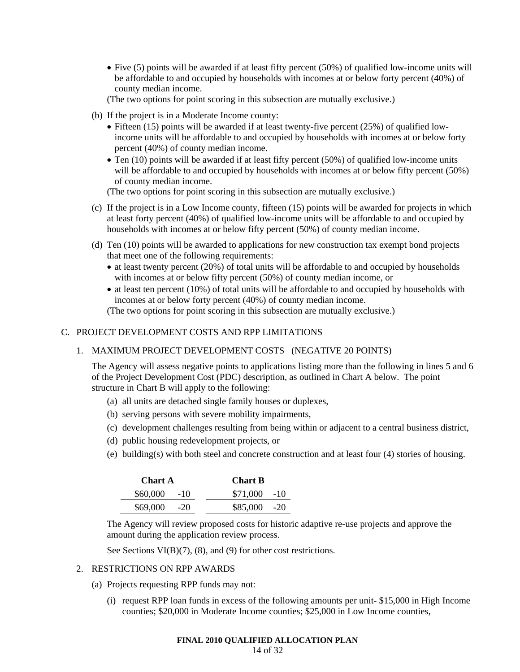• Five (5) points will be awarded if at least fifty percent (50%) of qualified low-income units will be affordable to and occupied by households with incomes at or below forty percent (40%) of county median income.

(The two options for point scoring in this subsection are mutually exclusive.)

- (b) If the project is in a Moderate Income county:
	- Fifteen (15) points will be awarded if at least twenty-five percent (25%) of qualified lowincome units will be affordable to and occupied by households with incomes at or below forty percent (40%) of county median income.
	- Ten (10) points will be awarded if at least fifty percent (50%) of qualified low-income units will be affordable to and occupied by households with incomes at or below fifty percent (50%) of county median income.

(The two options for point scoring in this subsection are mutually exclusive.)

- (c) If the project is in a Low Income county, fifteen (15) points will be awarded for projects in which at least forty percent (40%) of qualified low-income units will be affordable to and occupied by households with incomes at or below fifty percent (50%) of county median income.
- (d) Ten (10) points will be awarded to applications for new construction tax exempt bond projects that meet one of the following requirements:
	- at least twenty percent (20%) of total units will be affordable to and occupied by households with incomes at or below fifty percent (50%) of county median income, or
	- at least ten percent (10%) of total units will be affordable to and occupied by households with incomes at or below forty percent (40%) of county median income. (The two options for point scoring in this subsection are mutually exclusive.)

# C. PROJECT DEVELOPMENT COSTS AND RPP LIMITATIONS

# 1. MAXIMUM PROJECT DEVELOPMENT COSTS (NEGATIVE 20 POINTS)

The Agency will assess negative points to applications listing more than the following in lines 5 and 6 of the Project Development Cost (PDC) description, as outlined in Chart A below. The point structure in Chart B will apply to the following:

- (a) all units are detached single family houses or duplexes,
- (b) serving persons with severe mobility impairments,
- (c) development challenges resulting from being within or adjacent to a central business district,
- (d) public housing redevelopment projects, or
- (e) building(s) with both steel and concrete construction and at least four (4) stories of housing.

| <b>Chart A</b> |       | <b>Chart B</b> |  |  |
|----------------|-------|----------------|--|--|
| $$60,000$ -10  |       | $$71,000$ -10  |  |  |
| \$69,000       | $-20$ | $$85,000$ -20  |  |  |

The Agency will review proposed costs for historic adaptive re-use projects and approve the amount during the application review process.

See Sections VI(B)(7), (8), and (9) for other cost restrictions.

#### 2. RESTRICTIONS ON RPP AWARDS

- (a) Projects requesting RPP funds may not:
	- (i) request RPP loan funds in excess of the following amounts per unit- \$15,000 in High Income counties; \$20,000 in Moderate Income counties; \$25,000 in Low Income counties,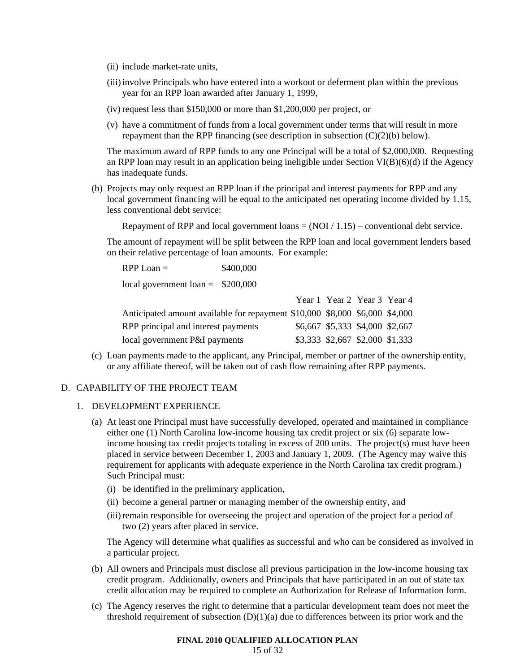- (ii) include market-rate units,
- (iii) involve Principals who have entered into a workout or deferment plan within the previous year for an RPP loan awarded after January 1, 1999,
- (iv) request less than \$150,000 or more than \$1,200,000 per project, or
- (v) have a commitment of funds from a local government under terms that will result in more repayment than the RPP financing (see description in subsection (C)(2)(b) below).

The maximum award of RPP funds to any one Principal will be a total of \$2,000,000. Requesting an RPP loan may result in an application being ineligible under Section VI(B)(6)(d) if the Agency has inadequate funds.

(b) Projects may only request an RPP loan if the principal and interest payments for RPP and any local government financing will be equal to the anticipated net operating income divided by 1.15, less conventional debt service:

Repayment of RPP and local government loans  $= (NOI / 1.15)$  – conventional debt service.

The amount of repayment will be split between the RPP loan and local government lenders based on their relative percentage of loan amounts. For example:

RPP Loan =  $$400,000$ local government loan  $=$  \$200,000

|                                                                             |                                 |  | Year 1 Year 2 Year 3 Year 4     |
|-----------------------------------------------------------------------------|---------------------------------|--|---------------------------------|
| Anticipated amount available for repayment \$10,000 \$8,000 \$6,000 \$4,000 |                                 |  |                                 |
| RPP principal and interest payments                                         |                                 |  | \$6,667 \$5,333 \$4,000 \$2,667 |
| local government P&I payments                                               | \$3,333 \$2,667 \$2,000 \$1,333 |  |                                 |

(c) Loan payments made to the applicant, any Principal, member or partner of the ownership entity, or any affiliate thereof, will be taken out of cash flow remaining after RPP payments.

# D. CAPABILITY OF THE PROJECT TEAM

## 1. DEVELOPMENT EXPERIENCE

- (a) At least one Principal must have successfully developed, operated and maintained in compliance either one (1) North Carolina low-income housing tax credit project or six (6) separate lowincome housing tax credit projects totaling in excess of 200 units. The project(s) must have been placed in service between December 1, 2003 and January 1, 2009. (The Agency may waive this requirement for applicants with adequate experience in the North Carolina tax credit program.) Such Principal must:
	- (i) be identified in the preliminary application,
	- (ii) become a general partner or managing member of the ownership entity, and
	- (iii) remain responsible for overseeing the project and operation of the project for a period of two (2) years after placed in service.

The Agency will determine what qualifies as successful and who can be considered as involved in a particular project.

- (b) All owners and Principals must disclose all previous participation in the low-income housing tax credit program. Additionally, owners and Principals that have participated in an out of state tax credit allocation may be required to complete an Authorization for Release of Information form.
- (c) The Agency reserves the right to determine that a particular development team does not meet the threshold requirement of subsection  $(D)(1)(a)$  due to differences between its prior work and the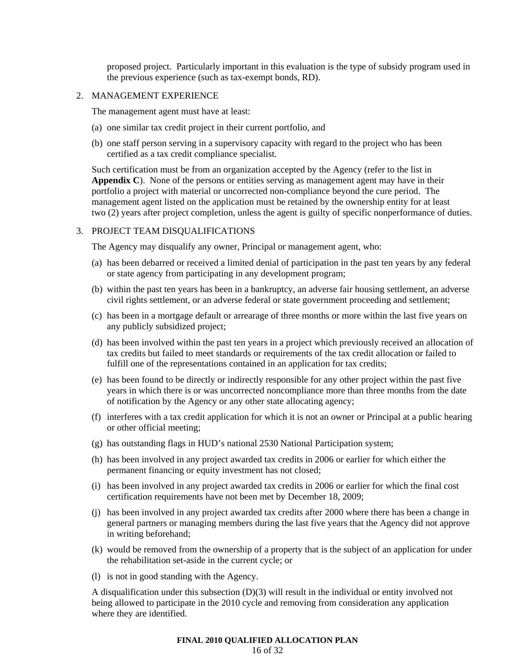proposed project. Particularly important in this evaluation is the type of subsidy program used in the previous experience (such as tax-exempt bonds, RD).

#### 2. MANAGEMENT EXPERIENCE

The management agent must have at least:

- (a) one similar tax credit project in their current portfolio, and
- (b) one staff person serving in a supervisory capacity with regard to the project who has been certified as a tax credit compliance specialist.

Such certification must be from an organization accepted by the Agency (refer to the list in **Appendix C**). None of the persons or entities serving as management agent may have in their portfolio a project with material or uncorrected non-compliance beyond the cure period. The management agent listed on the application must be retained by the ownership entity for at least two (2) years after project completion, unless the agent is guilty of specific nonperformance of duties.

#### 3. PROJECT TEAM DISQUALIFICATIONS

The Agency may disqualify any owner, Principal or management agent, who:

- (a) has been debarred or received a limited denial of participation in the past ten years by any federal or state agency from participating in any development program;
- (b) within the past ten years has been in a bankruptcy, an adverse fair housing settlement, an adverse civil rights settlement, or an adverse federal or state government proceeding and settlement;
- (c) has been in a mortgage default or arrearage of three months or more within the last five years on any publicly subsidized project;
- (d) has been involved within the past ten years in a project which previously received an allocation of tax credits but failed to meet standards or requirements of the tax credit allocation or failed to fulfill one of the representations contained in an application for tax credits;
- (e) has been found to be directly or indirectly responsible for any other project within the past five years in which there is or was uncorrected noncompliance more than three months from the date of notification by the Agency or any other state allocating agency;
- (f) interferes with a tax credit application for which it is not an owner or Principal at a public hearing or other official meeting;
- (g) has outstanding flags in HUD's national 2530 National Participation system;
- (h) has been involved in any project awarded tax credits in 2006 or earlier for which either the permanent financing or equity investment has not closed;
- (i) has been involved in any project awarded tax credits in 2006 or earlier for which the final cost certification requirements have not been met by December 18, 2009;
- (j) has been involved in any project awarded tax credits after 2000 where there has been a change in general partners or managing members during the last five years that the Agency did not approve in writing beforehand;
- (k) would be removed from the ownership of a property that is the subject of an application for under the rehabilitation set-aside in the current cycle; or
- (l) is not in good standing with the Agency.

A disqualification under this subsection (D)(3) will result in the individual or entity involved not being allowed to participate in the 2010 cycle and removing from consideration any application where they are identified.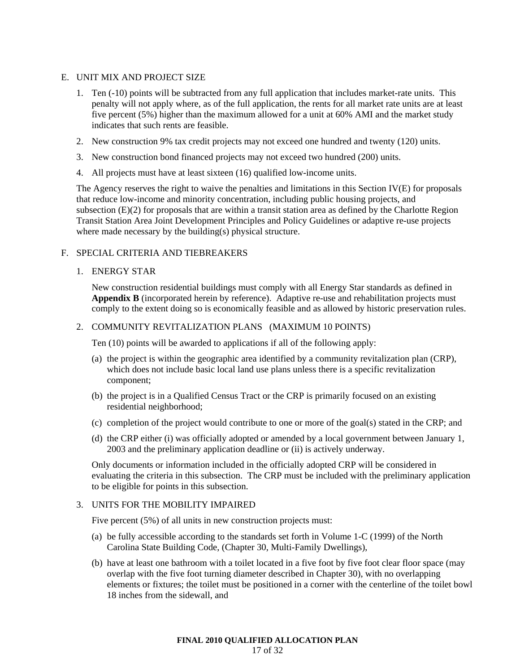# E. UNIT MIX AND PROJECT SIZE

- 1. Ten (-10) points will be subtracted from any full application that includes market-rate units. This penalty will not apply where, as of the full application, the rents for all market rate units are at least five percent (5%) higher than the maximum allowed for a unit at 60% AMI and the market study indicates that such rents are feasible.
- 2. New construction 9% tax credit projects may not exceed one hundred and twenty (120) units.
- 3. New construction bond financed projects may not exceed two hundred (200) units.
- 4. All projects must have at least sixteen (16) qualified low-income units.

The Agency reserves the right to waive the penalties and limitations in this Section IV(E) for proposals that reduce low-income and minority concentration, including public housing projects, and subsection (E)(2) for proposals that are within a transit station area as defined by the Charlotte Region Transit Station Area Joint Development Principles and Policy Guidelines or adaptive re-use projects where made necessary by the building(s) physical structure.

# F. SPECIAL CRITERIA AND TIEBREAKERS

## 1. ENERGY STAR

New construction residential buildings must comply with all Energy Star standards as defined in **Appendix B** (incorporated herein by reference). Adaptive re-use and rehabilitation projects must comply to the extent doing so is economically feasible and as allowed by historic preservation rules.

## 2. COMMUNITY REVITALIZATION PLANS (MAXIMUM 10 POINTS)

Ten (10) points will be awarded to applications if all of the following apply:

- (a) the project is within the geographic area identified by a community revitalization plan (CRP), which does not include basic local land use plans unless there is a specific revitalization component;
- (b) the project is in a Qualified Census Tract or the CRP is primarily focused on an existing residential neighborhood;
- (c) completion of the project would contribute to one or more of the goal(s) stated in the CRP; and
- (d) the CRP either (i) was officially adopted or amended by a local government between January 1, 2003 and the preliminary application deadline or (ii) is actively underway.

Only documents or information included in the officially adopted CRP will be considered in evaluating the criteria in this subsection. The CRP must be included with the preliminary application to be eligible for points in this subsection.

#### 3. UNITS FOR THE MOBILITY IMPAIRED

Five percent (5%) of all units in new construction projects must:

- (a) be fully accessible according to the standards set forth in Volume 1-C (1999) of the North Carolina State Building Code, (Chapter 30, Multi-Family Dwellings),
- (b) have at least one bathroom with a toilet located in a five foot by five foot clear floor space (may overlap with the five foot turning diameter described in Chapter 30), with no overlapping elements or fixtures; the toilet must be positioned in a corner with the centerline of the toilet bowl 18 inches from the sidewall, and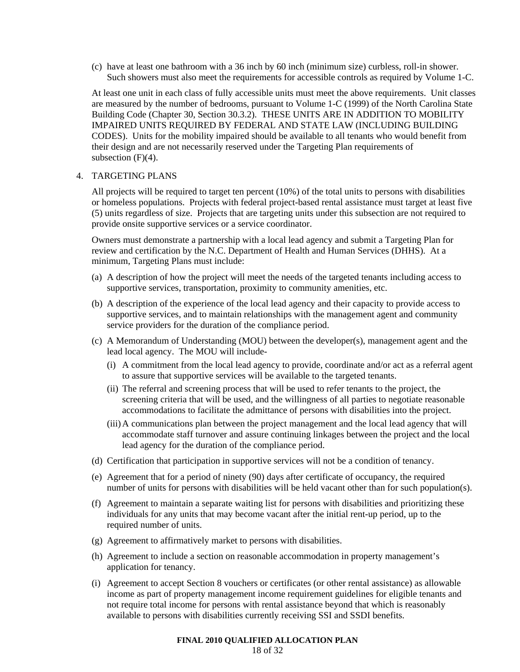(c) have at least one bathroom with a 36 inch by 60 inch (minimum size) curbless, roll-in shower. Such showers must also meet the requirements for accessible controls as required by Volume 1-C.

At least one unit in each class of fully accessible units must meet the above requirements. Unit classes are measured by the number of bedrooms, pursuant to Volume 1-C (1999) of the North Carolina State Building Code (Chapter 30, Section 30.3.2). THESE UNITS ARE IN ADDITION TO MOBILITY IMPAIRED UNITS REQUIRED BY FEDERAL AND STATE LAW (INCLUDING BUILDING CODES). Units for the mobility impaired should be available to all tenants who would benefit from their design and are not necessarily reserved under the Targeting Plan requirements of subsection  $(F)(4)$ .

#### 4. TARGETING PLANS

All projects will be required to target ten percent (10%) of the total units to persons with disabilities or homeless populations. Projects with federal project-based rental assistance must target at least five (5) units regardless of size. Projects that are targeting units under this subsection are not required to provide onsite supportive services or a service coordinator.

Owners must demonstrate a partnership with a local lead agency and submit a Targeting Plan for review and certification by the N.C. Department of Health and Human Services (DHHS). At a minimum, Targeting Plans must include:

- (a) A description of how the project will meet the needs of the targeted tenants including access to supportive services, transportation, proximity to community amenities, etc.
- (b) A description of the experience of the local lead agency and their capacity to provide access to supportive services, and to maintain relationships with the management agent and community service providers for the duration of the compliance period.
- (c) A Memorandum of Understanding (MOU) between the developer(s), management agent and the lead local agency. The MOU will include-
	- (i) A commitment from the local lead agency to provide, coordinate and/or act as a referral agent to assure that supportive services will be available to the targeted tenants.
	- (ii) The referral and screening process that will be used to refer tenants to the project, the screening criteria that will be used, and the willingness of all parties to negotiate reasonable accommodations to facilitate the admittance of persons with disabilities into the project.
	- (iii) A communications plan between the project management and the local lead agency that will accommodate staff turnover and assure continuing linkages between the project and the local lead agency for the duration of the compliance period.
- (d) Certification that participation in supportive services will not be a condition of tenancy.
- (e) Agreement that for a period of ninety (90) days after certificate of occupancy, the required number of units for persons with disabilities will be held vacant other than for such population(s).
- (f) Agreement to maintain a separate waiting list for persons with disabilities and prioritizing these individuals for any units that may become vacant after the initial rent-up period, up to the required number of units.
- (g) Agreement to affirmatively market to persons with disabilities.
- (h) Agreement to include a section on reasonable accommodation in property management's application for tenancy.
- (i) Agreement to accept Section 8 vouchers or certificates (or other rental assistance) as allowable income as part of property management income requirement guidelines for eligible tenants and not require total income for persons with rental assistance beyond that which is reasonably available to persons with disabilities currently receiving SSI and SSDI benefits.

#### **FINAL 2010 QUALIFIED ALLOCATION PLAN**  18 of 32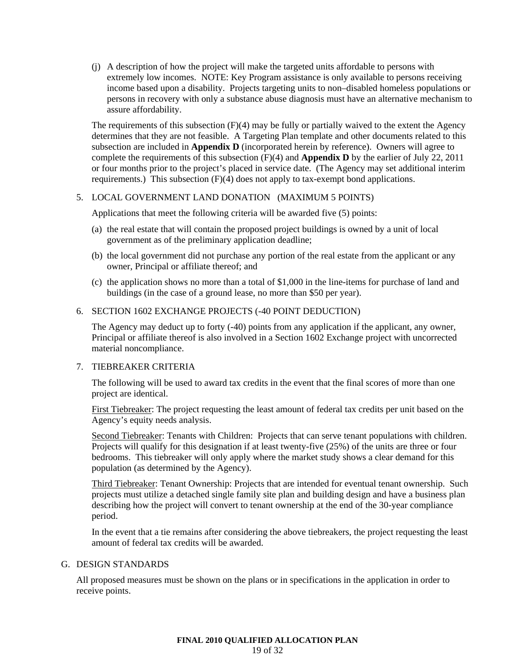(j) A description of how the project will make the targeted units affordable to persons with extremely low incomes. NOTE: Key Program assistance is only available to persons receiving income based upon a disability. Projects targeting units to non–disabled homeless populations or persons in recovery with only a substance abuse diagnosis must have an alternative mechanism to assure affordability.

The requirements of this subsection (F)(4) may be fully or partially waived to the extent the Agency determines that they are not feasible. A Targeting Plan template and other documents related to this subsection are included in **Appendix D** (incorporated herein by reference). Owners will agree to complete the requirements of this subsection (F)(4) and **Appendix D** by the earlier of July 22, 2011 or four months prior to the project's placed in service date. (The Agency may set additional interim requirements.) This subsection  $(F)(4)$  does not apply to tax-exempt bond applications.

# 5. LOCAL GOVERNMENT LAND DONATION (MAXIMUM 5 POINTS)

Applications that meet the following criteria will be awarded five (5) points:

- (a) the real estate that will contain the proposed project buildings is owned by a unit of local government as of the preliminary application deadline;
- (b) the local government did not purchase any portion of the real estate from the applicant or any owner, Principal or affiliate thereof; and
- (c) the application shows no more than a total of \$1,000 in the line-items for purchase of land and buildings (in the case of a ground lease, no more than \$50 per year).

## 6. SECTION 1602 EXCHANGE PROJECTS (-40 POINT DEDUCTION)

The Agency may deduct up to forty (-40) points from any application if the applicant, any owner, Principal or affiliate thereof is also involved in a Section 1602 Exchange project with uncorrected material noncompliance.

#### 7. TIEBREAKER CRITERIA

The following will be used to award tax credits in the event that the final scores of more than one project are identical.

First Tiebreaker: The project requesting the least amount of federal tax credits per unit based on the Agency's equity needs analysis.

Second Tiebreaker: Tenants with Children: Projects that can serve tenant populations with children. Projects will qualify for this designation if at least twenty-five (25%) of the units are three or four bedrooms. This tiebreaker will only apply where the market study shows a clear demand for this population (as determined by the Agency).

Third Tiebreaker: Tenant Ownership: Projects that are intended for eventual tenant ownership. Such projects must utilize a detached single family site plan and building design and have a business plan describing how the project will convert to tenant ownership at the end of the 30-year compliance period.

In the event that a tie remains after considering the above tiebreakers, the project requesting the least amount of federal tax credits will be awarded.

#### G. DESIGN STANDARDS

All proposed measures must be shown on the plans or in specifications in the application in order to receive points.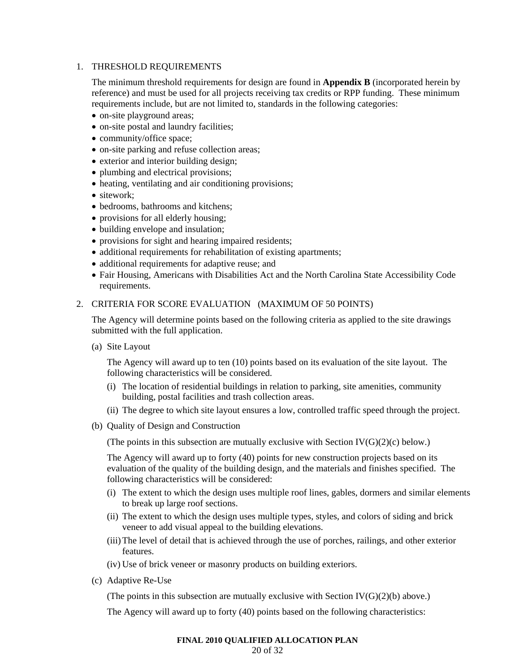# 1. THRESHOLD REQUIREMENTS

The minimum threshold requirements for design are found in **Appendix B** (incorporated herein by reference) and must be used for all projects receiving tax credits or RPP funding. These minimum requirements include, but are not limited to, standards in the following categories:

- on-site playground areas;
- on-site postal and laundry facilities;
- community/office space;
- on-site parking and refuse collection areas;
- exterior and interior building design;
- plumbing and electrical provisions;
- heating, ventilating and air conditioning provisions;
- sitework:
- bedrooms, bathrooms and kitchens;
- provisions for all elderly housing;
- building envelope and insulation;
- provisions for sight and hearing impaired residents;
- additional requirements for rehabilitation of existing apartments;
- additional requirements for adaptive reuse; and
- Fair Housing, Americans with Disabilities Act and the North Carolina State Accessibility Code requirements.

#### 2. CRITERIA FOR SCORE EVALUATION (MAXIMUM OF 50 POINTS)

The Agency will determine points based on the following criteria as applied to the site drawings submitted with the full application.

(a) Site Layout

The Agency will award up to ten (10) points based on its evaluation of the site layout. The following characteristics will be considered.

- (i) The location of residential buildings in relation to parking, site amenities, community building, postal facilities and trash collection areas.
- (ii) The degree to which site layout ensures a low, controlled traffic speed through the project.
- (b) Quality of Design and Construction

(The points in this subsection are mutually exclusive with Section  $IV(G)(2)(c)$  below.)

The Agency will award up to forty (40) points for new construction projects based on its evaluation of the quality of the building design, and the materials and finishes specified. The following characteristics will be considered:

- (i) The extent to which the design uses multiple roof lines, gables, dormers and similar elements to break up large roof sections.
- (ii) The extent to which the design uses multiple types, styles, and colors of siding and brick veneer to add visual appeal to the building elevations.
- (iii) The level of detail that is achieved through the use of porches, railings, and other exterior features.
- (iv) Use of brick veneer or masonry products on building exteriors.
- (c) Adaptive Re-Use

(The points in this subsection are mutually exclusive with Section  $IV(G)(2)(b)$  above.)

The Agency will award up to forty (40) points based on the following characteristics:

# **FINAL 2010 QUALIFIED ALLOCATION PLAN**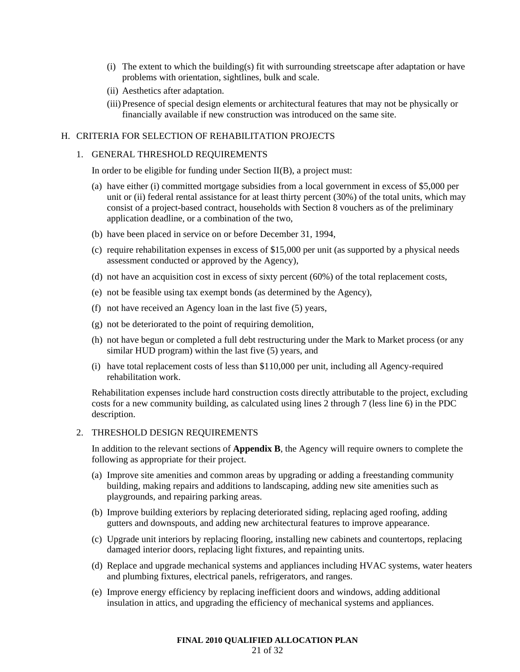- (i) The extent to which the building(s) fit with surrounding streetscape after adaptation or have problems with orientation, sightlines, bulk and scale.
- (ii) Aesthetics after adaptation.
- (iii) Presence of special design elements or architectural features that may not be physically or financially available if new construction was introduced on the same site.

# H. CRITERIA FOR SELECTION OF REHABILITATION PROJECTS

#### 1. GENERAL THRESHOLD REQUIREMENTS

In order to be eligible for funding under Section II(B), a project must:

- (a) have either (i) committed mortgage subsidies from a local government in excess of \$5,000 per unit or (ii) federal rental assistance for at least thirty percent (30%) of the total units, which may consist of a project-based contract, households with Section 8 vouchers as of the preliminary application deadline, or a combination of the two,
- (b) have been placed in service on or before December 31, 1994,
- (c) require rehabilitation expenses in excess of \$15,000 per unit (as supported by a physical needs assessment conducted or approved by the Agency),
- (d) not have an acquisition cost in excess of sixty percent (60%) of the total replacement costs,
- (e) not be feasible using tax exempt bonds (as determined by the Agency),
- (f) not have received an Agency loan in the last five (5) years,
- (g) not be deteriorated to the point of requiring demolition,
- (h) not have begun or completed a full debt restructuring under the Mark to Market process (or any similar HUD program) within the last five (5) years, and
- (i) have total replacement costs of less than \$110,000 per unit, including all Agency-required rehabilitation work.

Rehabilitation expenses include hard construction costs directly attributable to the project, excluding costs for a new community building, as calculated using lines 2 through 7 (less line 6) in the PDC description.

#### 2. THRESHOLD DESIGN REQUIREMENTS

In addition to the relevant sections of **Appendix B**, the Agency will require owners to complete the following as appropriate for their project.

- (a) Improve site amenities and common areas by upgrading or adding a freestanding community building, making repairs and additions to landscaping, adding new site amenities such as playgrounds, and repairing parking areas.
- (b) Improve building exteriors by replacing deteriorated siding, replacing aged roofing, adding gutters and downspouts, and adding new architectural features to improve appearance.
- (c) Upgrade unit interiors by replacing flooring, installing new cabinets and countertops, replacing damaged interior doors, replacing light fixtures, and repainting units.
- (d) Replace and upgrade mechanical systems and appliances including HVAC systems, water heaters and plumbing fixtures, electrical panels, refrigerators, and ranges.
- (e) Improve energy efficiency by replacing inefficient doors and windows, adding additional insulation in attics, and upgrading the efficiency of mechanical systems and appliances.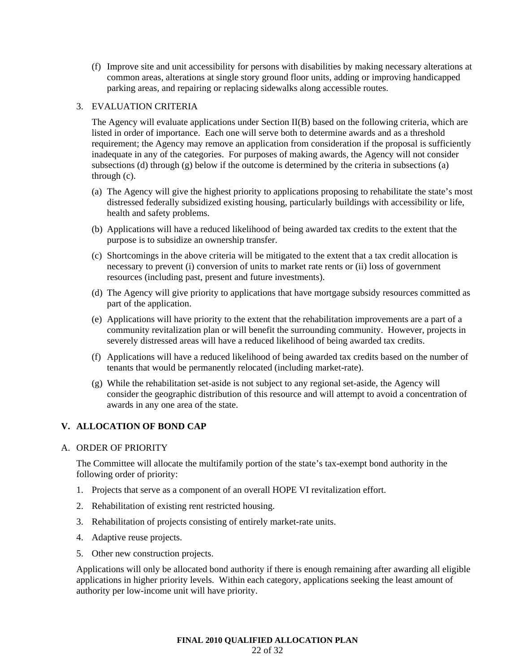(f) Improve site and unit accessibility for persons with disabilities by making necessary alterations at common areas, alterations at single story ground floor units, adding or improving handicapped parking areas, and repairing or replacing sidewalks along accessible routes.

## 3. EVALUATION CRITERIA

The Agency will evaluate applications under Section II(B) based on the following criteria, which are listed in order of importance. Each one will serve both to determine awards and as a threshold requirement; the Agency may remove an application from consideration if the proposal is sufficiently inadequate in any of the categories. For purposes of making awards, the Agency will not consider subsections (d) through (g) below if the outcome is determined by the criteria in subsections (a) through (c).

- (a) The Agency will give the highest priority to applications proposing to rehabilitate the state's most distressed federally subsidized existing housing, particularly buildings with accessibility or life, health and safety problems.
- (b) Applications will have a reduced likelihood of being awarded tax credits to the extent that the purpose is to subsidize an ownership transfer.
- (c) Shortcomings in the above criteria will be mitigated to the extent that a tax credit allocation is necessary to prevent (i) conversion of units to market rate rents or (ii) loss of government resources (including past, present and future investments).
- (d) The Agency will give priority to applications that have mortgage subsidy resources committed as part of the application.
- (e) Applications will have priority to the extent that the rehabilitation improvements are a part of a community revitalization plan or will benefit the surrounding community. However, projects in severely distressed areas will have a reduced likelihood of being awarded tax credits.
- (f) Applications will have a reduced likelihood of being awarded tax credits based on the number of tenants that would be permanently relocated (including market-rate).
- (g) While the rehabilitation set-aside is not subject to any regional set-aside, the Agency will consider the geographic distribution of this resource and will attempt to avoid a concentration of awards in any one area of the state.

# **V. ALLOCATION OF BOND CAP**

## A. ORDER OF PRIORITY

The Committee will allocate the multifamily portion of the state's tax-exempt bond authority in the following order of priority:

- 1. Projects that serve as a component of an overall HOPE VI revitalization effort.
- 2. Rehabilitation of existing rent restricted housing.
- 3. Rehabilitation of projects consisting of entirely market-rate units.
- 4. Adaptive reuse projects.
- 5. Other new construction projects.

Applications will only be allocated bond authority if there is enough remaining after awarding all eligible applications in higher priority levels. Within each category, applications seeking the least amount of authority per low-income unit will have priority.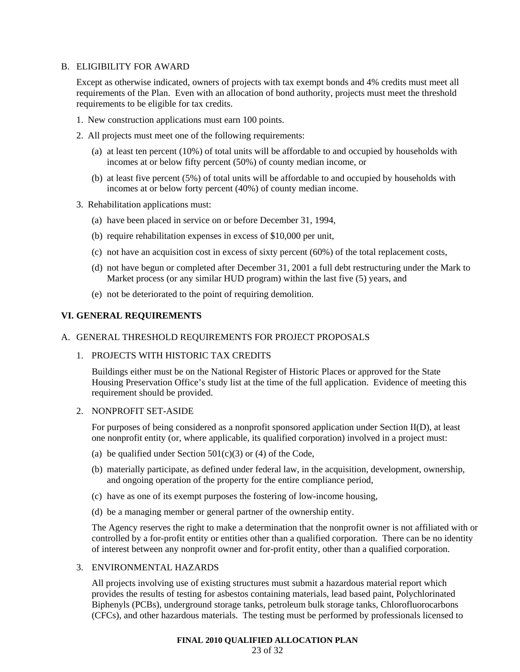## B. ELIGIBILITY FOR AWARD

Except as otherwise indicated, owners of projects with tax exempt bonds and 4% credits must meet all requirements of the Plan. Even with an allocation of bond authority, projects must meet the threshold requirements to be eligible for tax credits.

- 1. New construction applications must earn 100 points.
- 2. All projects must meet one of the following requirements:
	- (a) at least ten percent (10%) of total units will be affordable to and occupied by households with incomes at or below fifty percent (50%) of county median income, or
	- (b) at least five percent (5%) of total units will be affordable to and occupied by households with incomes at or below forty percent (40%) of county median income.
- 3. Rehabilitation applications must:
	- (a) have been placed in service on or before December 31, 1994,
	- (b) require rehabilitation expenses in excess of \$10,000 per unit,
	- (c) not have an acquisition cost in excess of sixty percent (60%) of the total replacement costs,
	- (d) not have begun or completed after December 31, 2001 a full debt restructuring under the Mark to Market process (or any similar HUD program) within the last five (5) years, and
	- (e) not be deteriorated to the point of requiring demolition.

# **VI. GENERAL REQUIREMENTS**

#### A. GENERAL THRESHOLD REQUIREMENTS FOR PROJECT PROPOSALS

#### 1. PROJECTS WITH HISTORIC TAX CREDITS

Buildings either must be on the National Register of Historic Places or approved for the State Housing Preservation Office's study list at the time of the full application. Evidence of meeting this requirement should be provided.

#### 2. NONPROFIT SET-ASIDE

For purposes of being considered as a nonprofit sponsored application under Section II(D), at least one nonprofit entity (or, where applicable, its qualified corporation) involved in a project must:

- (a) be qualified under Section  $501(c)(3)$  or (4) of the Code,
- (b) materially participate, as defined under federal law, in the acquisition, development, ownership, and ongoing operation of the property for the entire compliance period,
- (c) have as one of its exempt purposes the fostering of low-income housing,
- (d) be a managing member or general partner of the ownership entity.

The Agency reserves the right to make a determination that the nonprofit owner is not affiliated with or controlled by a for-profit entity or entities other than a qualified corporation. There can be no identity of interest between any nonprofit owner and for-profit entity, other than a qualified corporation.

# 3. ENVIRONMENTAL HAZARDS

All projects involving use of existing structures must submit a hazardous material report which provides the results of testing for asbestos containing materials, lead based paint, Polychlorinated Biphenyls (PCBs), underground storage tanks, petroleum bulk storage tanks, Chlorofluorocarbons (CFCs), and other hazardous materials. The testing must be performed by professionals licensed to

#### **FINAL 2010 QUALIFIED ALLOCATION PLAN**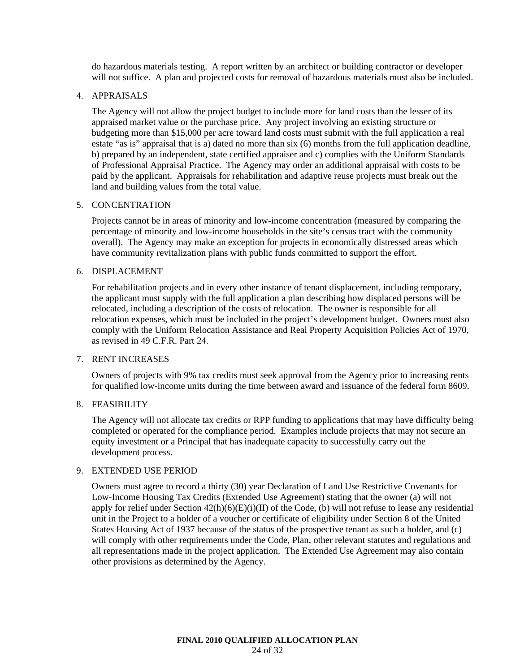do hazardous materials testing. A report written by an architect or building contractor or developer will not suffice. A plan and projected costs for removal of hazardous materials must also be included.

#### 4. APPRAISALS

The Agency will not allow the project budget to include more for land costs than the lesser of its appraised market value or the purchase price. Any project involving an existing structure or budgeting more than \$15,000 per acre toward land costs must submit with the full application a real estate "as is" appraisal that is a) dated no more than six (6) months from the full application deadline, b) prepared by an independent, state certified appraiser and c) complies with the Uniform Standards of Professional Appraisal Practice. The Agency may order an additional appraisal with costs to be paid by the applicant. Appraisals for rehabilitation and adaptive reuse projects must break out the land and building values from the total value.

#### 5. CONCENTRATION

Projects cannot be in areas of minority and low-income concentration (measured by comparing the percentage of minority and low-income households in the site's census tract with the community overall). The Agency may make an exception for projects in economically distressed areas which have community revitalization plans with public funds committed to support the effort.

#### 6. DISPLACEMENT

For rehabilitation projects and in every other instance of tenant displacement, including temporary, the applicant must supply with the full application a plan describing how displaced persons will be relocated, including a description of the costs of relocation. The owner is responsible for all relocation expenses, which must be included in the project's development budget. Owners must also comply with the Uniform Relocation Assistance and Real Property Acquisition Policies Act of 1970, as revised in 49 C.F.R. Part 24.

#### 7. RENT INCREASES

Owners of projects with 9% tax credits must seek approval from the Agency prior to increasing rents for qualified low-income units during the time between award and issuance of the federal form 8609.

#### 8. FEASIBILITY

The Agency will not allocate tax credits or RPP funding to applications that may have difficulty being completed or operated for the compliance period. Examples include projects that may not secure an equity investment or a Principal that has inadequate capacity to successfully carry out the development process.

# 9. EXTENDED USE PERIOD

Owners must agree to record a thirty (30) year Declaration of Land Use Restrictive Covenants for Low-Income Housing Tax Credits (Extended Use Agreement) stating that the owner (a) will not apply for relief under Section  $42(h)(6)(E)(i)(II)$  of the Code, (b) will not refuse to lease any residential unit in the Project to a holder of a voucher or certificate of eligibility under Section 8 of the United States Housing Act of 1937 because of the status of the prospective tenant as such a holder, and (c) will comply with other requirements under the Code, Plan, other relevant statutes and regulations and all representations made in the project application. The Extended Use Agreement may also contain other provisions as determined by the Agency.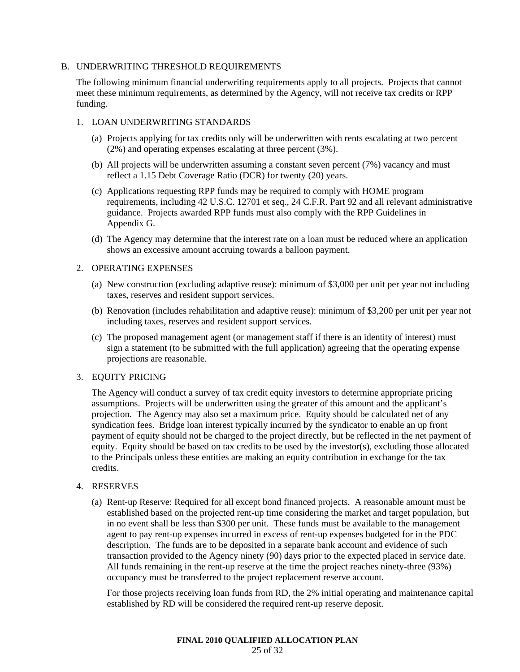#### B. UNDERWRITING THRESHOLD REQUIREMENTS

The following minimum financial underwriting requirements apply to all projects. Projects that cannot meet these minimum requirements, as determined by the Agency, will not receive tax credits or RPP funding.

#### 1. LOAN UNDERWRITING STANDARDS

- (a) Projects applying for tax credits only will be underwritten with rents escalating at two percent (2%) and operating expenses escalating at three percent (3%).
- (b) All projects will be underwritten assuming a constant seven percent (7%) vacancy and must reflect a 1.15 Debt Coverage Ratio (DCR) for twenty (20) years.
- (c) Applications requesting RPP funds may be required to comply with HOME program requirements, including 42 U.S.C. 12701 et seq., 24 C.F.R. Part 92 and all relevant administrative guidance. Projects awarded RPP funds must also comply with the RPP Guidelines in Appendix G.
- (d) The Agency may determine that the interest rate on a loan must be reduced where an application shows an excessive amount accruing towards a balloon payment.

# 2. OPERATING EXPENSES

- (a) New construction (excluding adaptive reuse): minimum of \$3,000 per unit per year not including taxes, reserves and resident support services.
- (b) Renovation (includes rehabilitation and adaptive reuse): minimum of \$3,200 per unit per year not including taxes, reserves and resident support services.
- (c) The proposed management agent (or management staff if there is an identity of interest) must sign a statement (to be submitted with the full application) agreeing that the operating expense projections are reasonable.

# 3. EQUITY PRICING

The Agency will conduct a survey of tax credit equity investors to determine appropriate pricing assumptions. Projects will be underwritten using the greater of this amount and the applicant's projection. The Agency may also set a maximum price. Equity should be calculated net of any syndication fees. Bridge loan interest typically incurred by the syndicator to enable an up front payment of equity should not be charged to the project directly, but be reflected in the net payment of equity. Equity should be based on tax credits to be used by the investor(s), excluding those allocated to the Principals unless these entities are making an equity contribution in exchange for the tax credits.

#### 4. RESERVES

(a) Rent-up Reserve: Required for all except bond financed projects. A reasonable amount must be established based on the projected rent-up time considering the market and target population, but in no event shall be less than \$300 per unit. These funds must be available to the management agent to pay rent-up expenses incurred in excess of rent-up expenses budgeted for in the PDC description. The funds are to be deposited in a separate bank account and evidence of such transaction provided to the Agency ninety (90) days prior to the expected placed in service date. All funds remaining in the rent-up reserve at the time the project reaches ninety-three (93%) occupancy must be transferred to the project replacement reserve account.

For those projects receiving loan funds from RD, the 2% initial operating and maintenance capital established by RD will be considered the required rent-up reserve deposit.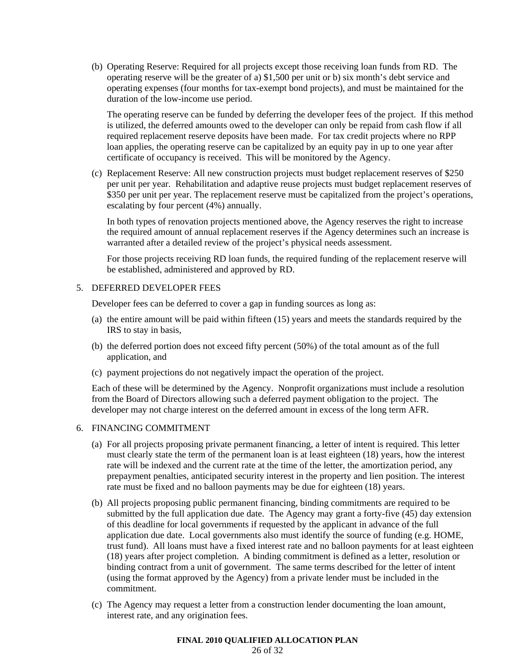(b) Operating Reserve: Required for all projects except those receiving loan funds from RD. The operating reserve will be the greater of a) \$1,500 per unit or b) six month's debt service and operating expenses (four months for tax-exempt bond projects), and must be maintained for the duration of the low-income use period.

The operating reserve can be funded by deferring the developer fees of the project. If this method is utilized, the deferred amounts owed to the developer can only be repaid from cash flow if all required replacement reserve deposits have been made. For tax credit projects where no RPP loan applies, the operating reserve can be capitalized by an equity pay in up to one year after certificate of occupancy is received. This will be monitored by the Agency.

(c) Replacement Reserve: All new construction projects must budget replacement reserves of \$250 per unit per year. Rehabilitation and adaptive reuse projects must budget replacement reserves of \$350 per unit per year. The replacement reserve must be capitalized from the project's operations, escalating by four percent (4%) annually.

In both types of renovation projects mentioned above, the Agency reserves the right to increase the required amount of annual replacement reserves if the Agency determines such an increase is warranted after a detailed review of the project's physical needs assessment.

For those projects receiving RD loan funds, the required funding of the replacement reserve will be established, administered and approved by RD.

## 5. DEFERRED DEVELOPER FEES

Developer fees can be deferred to cover a gap in funding sources as long as:

- (a) the entire amount will be paid within fifteen (15) years and meets the standards required by the IRS to stay in basis,
- (b) the deferred portion does not exceed fifty percent (50%) of the total amount as of the full application, and
- (c) payment projections do not negatively impact the operation of the project.

Each of these will be determined by the Agency. Nonprofit organizations must include a resolution from the Board of Directors allowing such a deferred payment obligation to the project. The developer may not charge interest on the deferred amount in excess of the long term AFR.

#### 6. FINANCING COMMITMENT

- (a) For all projects proposing private permanent financing, a letter of intent is required. This letter must clearly state the term of the permanent loan is at least eighteen (18) years, how the interest rate will be indexed and the current rate at the time of the letter, the amortization period, any prepayment penalties, anticipated security interest in the property and lien position. The interest rate must be fixed and no balloon payments may be due for eighteen (18) years.
- (b) All projects proposing public permanent financing, binding commitments are required to be submitted by the full application due date. The Agency may grant a forty-five (45) day extension of this deadline for local governments if requested by the applicant in advance of the full application due date. Local governments also must identify the source of funding (e.g. HOME, trust fund). All loans must have a fixed interest rate and no balloon payments for at least eighteen (18) years after project completion. A binding commitment is defined as a letter, resolution or binding contract from a unit of government. The same terms described for the letter of intent (using the format approved by the Agency) from a private lender must be included in the commitment.
- (c) The Agency may request a letter from a construction lender documenting the loan amount, interest rate, and any origination fees.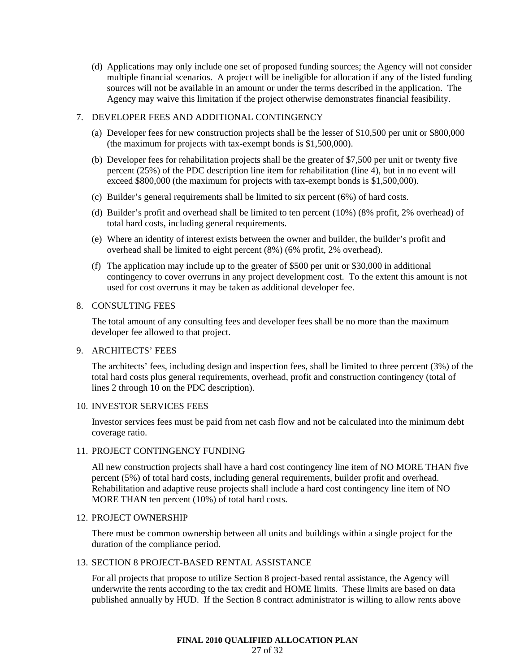(d) Applications may only include one set of proposed funding sources; the Agency will not consider multiple financial scenarios. A project will be ineligible for allocation if any of the listed funding sources will not be available in an amount or under the terms described in the application. The Agency may waive this limitation if the project otherwise demonstrates financial feasibility.

#### 7. DEVELOPER FEES AND ADDITIONAL CONTINGENCY

- (a) Developer fees for new construction projects shall be the lesser of \$10,500 per unit or \$800,000 (the maximum for projects with tax-exempt bonds is \$1,500,000).
- (b) Developer fees for rehabilitation projects shall be the greater of \$7,500 per unit or twenty five percent (25%) of the PDC description line item for rehabilitation (line 4), but in no event will exceed \$800,000 (the maximum for projects with tax-exempt bonds is \$1,500,000).
- (c) Builder's general requirements shall be limited to six percent (6%) of hard costs.
- (d) Builder's profit and overhead shall be limited to ten percent (10%) (8% profit, 2% overhead) of total hard costs, including general requirements.
- (e) Where an identity of interest exists between the owner and builder, the builder's profit and overhead shall be limited to eight percent (8%) (6% profit, 2% overhead).
- (f) The application may include up to the greater of \$500 per unit or \$30,000 in additional contingency to cover overruns in any project development cost. To the extent this amount is not used for cost overruns it may be taken as additional developer fee.

## 8. CONSULTING FEES

The total amount of any consulting fees and developer fees shall be no more than the maximum developer fee allowed to that project.

#### 9. ARCHITECTS' FEES

The architects' fees, including design and inspection fees, shall be limited to three percent (3%) of the total hard costs plus general requirements, overhead, profit and construction contingency (total of lines 2 through 10 on the PDC description).

## 10. INVESTOR SERVICES FEES

Investor services fees must be paid from net cash flow and not be calculated into the minimum debt coverage ratio.

# 11. PROJECT CONTINGENCY FUNDING

All new construction projects shall have a hard cost contingency line item of NO MORE THAN five percent (5%) of total hard costs, including general requirements, builder profit and overhead. Rehabilitation and adaptive reuse projects shall include a hard cost contingency line item of NO MORE THAN ten percent (10%) of total hard costs.

#### 12. PROJECT OWNERSHIP

There must be common ownership between all units and buildings within a single project for the duration of the compliance period.

#### 13. SECTION 8 PROJECT-BASED RENTAL ASSISTANCE

For all projects that propose to utilize Section 8 project-based rental assistance, the Agency will underwrite the rents according to the tax credit and HOME limits. These limits are based on data published annually by HUD. If the Section 8 contract administrator is willing to allow rents above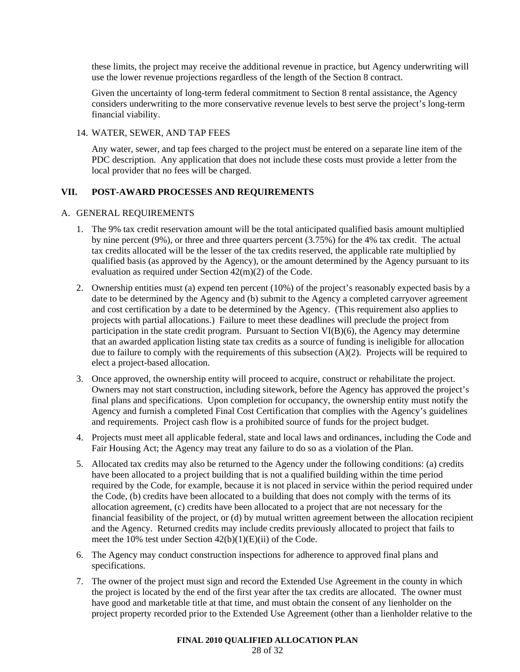these limits, the project may receive the additional revenue in practice, but Agency underwriting will use the lower revenue projections regardless of the length of the Section 8 contract.

Given the uncertainty of long-term federal commitment to Section 8 rental assistance, the Agency considers underwriting to the more conservative revenue levels to best serve the project's long-term financial viability.

# 14. WATER, SEWER, AND TAP FEES

Any water, sewer, and tap fees charged to the project must be entered on a separate line item of the PDC description. Any application that does not include these costs must provide a letter from the local provider that no fees will be charged.

# **VII. POST-AWARD PROCESSES AND REQUIREMENTS**

## A. GENERAL REQUIREMENTS

- 1. The 9% tax credit reservation amount will be the total anticipated qualified basis amount multiplied by nine percent (9%), or three and three quarters percent (3.75%) for the 4% tax credit. The actual tax credits allocated will be the lesser of the tax credits reserved, the applicable rate multiplied by qualified basis (as approved by the Agency), or the amount determined by the Agency pursuant to its evaluation as required under Section 42(m)(2) of the Code.
- 2. Ownership entities must (a) expend ten percent (10%) of the project's reasonably expected basis by a date to be determined by the Agency and (b) submit to the Agency a completed carryover agreement and cost certification by a date to be determined by the Agency. (This requirement also applies to projects with partial allocations.) Failure to meet these deadlines will preclude the project from participation in the state credit program. Pursuant to Section VI(B)(6), the Agency may determine that an awarded application listing state tax credits as a source of funding is ineligible for allocation due to failure to comply with the requirements of this subsection (A)(2). Projects will be required to elect a project-based allocation.
- 3. Once approved, the ownership entity will proceed to acquire, construct or rehabilitate the project. Owners may not start construction, including sitework, before the Agency has approved the project's final plans and specifications. Upon completion for occupancy, the ownership entity must notify the Agency and furnish a completed Final Cost Certification that complies with the Agency's guidelines and requirements. Project cash flow is a prohibited source of funds for the project budget.
- 4. Projects must meet all applicable federal, state and local laws and ordinances, including the Code and Fair Housing Act; the Agency may treat any failure to do so as a violation of the Plan.
- 5. Allocated tax credits may also be returned to the Agency under the following conditions: (a) credits have been allocated to a project building that is not a qualified building within the time period required by the Code, for example, because it is not placed in service within the period required under the Code, (b) credits have been allocated to a building that does not comply with the terms of its allocation agreement, (c) credits have been allocated to a project that are not necessary for the financial feasibility of the project, or (d) by mutual written agreement between the allocation recipient and the Agency. Returned credits may include credits previously allocated to project that fails to meet the 10% test under Section 42(b)(1)(E)(ii) of the Code.
- 6. The Agency may conduct construction inspections for adherence to approved final plans and specifications.
- 7. The owner of the project must sign and record the Extended Use Agreement in the county in which the project is located by the end of the first year after the tax credits are allocated. The owner must have good and marketable title at that time, and must obtain the consent of any lienholder on the project property recorded prior to the Extended Use Agreement (other than a lienholder relative to the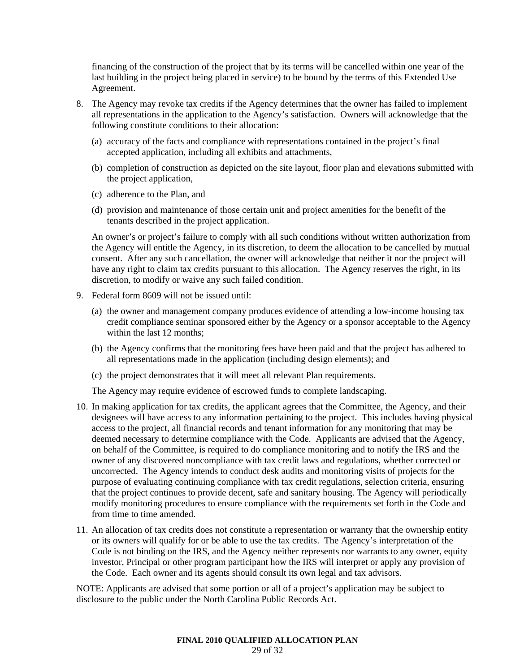financing of the construction of the project that by its terms will be cancelled within one year of the last building in the project being placed in service) to be bound by the terms of this Extended Use Agreement.

- 8. The Agency may revoke tax credits if the Agency determines that the owner has failed to implement all representations in the application to the Agency's satisfaction. Owners will acknowledge that the following constitute conditions to their allocation:
	- (a) accuracy of the facts and compliance with representations contained in the project's final accepted application, including all exhibits and attachments,
	- (b) completion of construction as depicted on the site layout, floor plan and elevations submitted with the project application,
	- (c) adherence to the Plan, and
	- (d) provision and maintenance of those certain unit and project amenities for the benefit of the tenants described in the project application.

An owner's or project's failure to comply with all such conditions without written authorization from the Agency will entitle the Agency, in its discretion, to deem the allocation to be cancelled by mutual consent. After any such cancellation, the owner will acknowledge that neither it nor the project will have any right to claim tax credits pursuant to this allocation. The Agency reserves the right, in its discretion, to modify or waive any such failed condition.

- 9. Federal form 8609 will not be issued until:
	- (a) the owner and management company produces evidence of attending a low-income housing tax credit compliance seminar sponsored either by the Agency or a sponsor acceptable to the Agency within the last 12 months;
	- (b) the Agency confirms that the monitoring fees have been paid and that the project has adhered to all representations made in the application (including design elements); and
	- (c) the project demonstrates that it will meet all relevant Plan requirements.

The Agency may require evidence of escrowed funds to complete landscaping.

- 10. In making application for tax credits, the applicant agrees that the Committee, the Agency, and their designees will have access to any information pertaining to the project. This includes having physical access to the project, all financial records and tenant information for any monitoring that may be deemed necessary to determine compliance with the Code. Applicants are advised that the Agency, on behalf of the Committee, is required to do compliance monitoring and to notify the IRS and the owner of any discovered noncompliance with tax credit laws and regulations, whether corrected or uncorrected. The Agency intends to conduct desk audits and monitoring visits of projects for the purpose of evaluating continuing compliance with tax credit regulations, selection criteria, ensuring that the project continues to provide decent, safe and sanitary housing. The Agency will periodically modify monitoring procedures to ensure compliance with the requirements set forth in the Code and from time to time amended.
- 11. An allocation of tax credits does not constitute a representation or warranty that the ownership entity or its owners will qualify for or be able to use the tax credits. The Agency's interpretation of the Code is not binding on the IRS, and the Agency neither represents nor warrants to any owner, equity investor, Principal or other program participant how the IRS will interpret or apply any provision of the Code. Each owner and its agents should consult its own legal and tax advisors.

NOTE: Applicants are advised that some portion or all of a project's application may be subject to disclosure to the public under the North Carolina Public Records Act.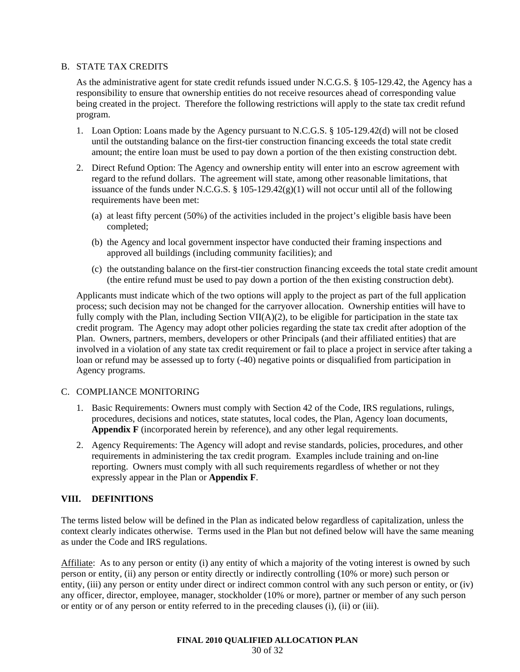# B. STATE TAX CREDITS

As the administrative agent for state credit refunds issued under N.C.G.S. § 105-129.42, the Agency has a responsibility to ensure that ownership entities do not receive resources ahead of corresponding value being created in the project. Therefore the following restrictions will apply to the state tax credit refund program.

- 1. Loan Option: Loans made by the Agency pursuant to N.C.G.S. § 105-129.42(d) will not be closed until the outstanding balance on the first-tier construction financing exceeds the total state credit amount; the entire loan must be used to pay down a portion of the then existing construction debt.
- 2. Direct Refund Option: The Agency and ownership entity will enter into an escrow agreement with regard to the refund dollars. The agreement will state, among other reasonable limitations, that issuance of the funds under N.C.G.S.  $\S$  105-129.42(g)(1) will not occur until all of the following requirements have been met:
	- (a) at least fifty percent (50%) of the activities included in the project's eligible basis have been completed;
	- (b) the Agency and local government inspector have conducted their framing inspections and approved all buildings (including community facilities); and
	- (c) the outstanding balance on the first-tier construction financing exceeds the total state credit amount (the entire refund must be used to pay down a portion of the then existing construction debt).

Applicants must indicate which of the two options will apply to the project as part of the full application process; such decision may not be changed for the carryover allocation. Ownership entities will have to fully comply with the Plan, including Section VII(A)(2), to be eligible for participation in the state tax credit program. The Agency may adopt other policies regarding the state tax credit after adoption of the Plan. Owners, partners, members, developers or other Principals (and their affiliated entities) that are involved in a violation of any state tax credit requirement or fail to place a project in service after taking a loan or refund may be assessed up to forty (-40) negative points or disqualified from participation in Agency programs.

# C. COMPLIANCE MONITORING

- 1. Basic Requirements: Owners must comply with Section 42 of the Code, IRS regulations, rulings, procedures, decisions and notices, state statutes, local codes, the Plan, Agency loan documents, **Appendix F** (incorporated herein by reference), and any other legal requirements.
- 2. Agency Requirements: The Agency will adopt and revise standards, policies, procedures, and other requirements in administering the tax credit program. Examples include training and on-line reporting. Owners must comply with all such requirements regardless of whether or not they expressly appear in the Plan or **Appendix F**.

# **VIII. DEFINITIONS**

The terms listed below will be defined in the Plan as indicated below regardless of capitalization, unless the context clearly indicates otherwise. Terms used in the Plan but not defined below will have the same meaning as under the Code and IRS regulations.

Affiliate: As to any person or entity (i) any entity of which a majority of the voting interest is owned by such person or entity, (ii) any person or entity directly or indirectly controlling (10% or more) such person or entity, (iii) any person or entity under direct or indirect common control with any such person or entity, or (iv) any officer, director, employee, manager, stockholder (10% or more), partner or member of any such person or entity or of any person or entity referred to in the preceding clauses (i), (ii) or (iii).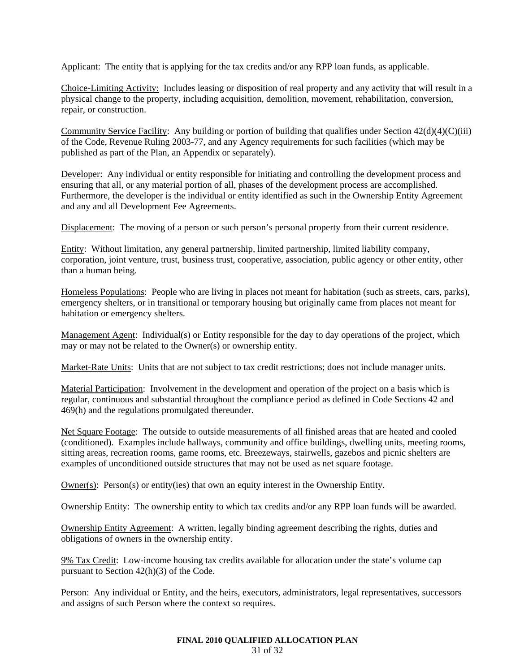Applicant: The entity that is applying for the tax credits and/or any RPP loan funds, as applicable.

Choice-Limiting Activity: Includes leasing or disposition of real property and any activity that will result in a physical change to the property, including acquisition, demolition, movement, rehabilitation, conversion, repair, or construction.

Community Service Facility: Any building or portion of building that qualifies under Section  $42(d)(4)(C)(iii)$ of the Code, Revenue Ruling 2003-77, and any Agency requirements for such facilities (which may be published as part of the Plan, an Appendix or separately).

Developer: Any individual or entity responsible for initiating and controlling the development process and ensuring that all, or any material portion of all, phases of the development process are accomplished. Furthermore, the developer is the individual or entity identified as such in the Ownership Entity Agreement and any and all Development Fee Agreements.

Displacement: The moving of a person or such person's personal property from their current residence.

Entity: Without limitation, any general partnership, limited partnership, limited liability company, corporation, joint venture, trust, business trust, cooperative, association, public agency or other entity, other than a human being.

Homeless Populations: People who are living in places not meant for habitation (such as streets, cars, parks), emergency shelters, or in transitional or temporary housing but originally came from places not meant for habitation or emergency shelters.

Management Agent: Individual(s) or Entity responsible for the day to day operations of the project, which may or may not be related to the Owner(s) or ownership entity.

Market-Rate Units: Units that are not subject to tax credit restrictions; does not include manager units.

Material Participation: Involvement in the development and operation of the project on a basis which is regular, continuous and substantial throughout the compliance period as defined in Code Sections 42 and 469(h) and the regulations promulgated thereunder.

Net Square Footage: The outside to outside measurements of all finished areas that are heated and cooled (conditioned). Examples include hallways, community and office buildings, dwelling units, meeting rooms, sitting areas, recreation rooms, game rooms, etc. Breezeways, stairwells, gazebos and picnic shelters are examples of unconditioned outside structures that may not be used as net square footage.

Owner(s): Person(s) or entity(ies) that own an equity interest in the Ownership Entity.

Ownership Entity: The ownership entity to which tax credits and/or any RPP loan funds will be awarded.

Ownership Entity Agreement: A written, legally binding agreement describing the rights, duties and obligations of owners in the ownership entity.

9% Tax Credit: Low-income housing tax credits available for allocation under the state's volume cap pursuant to Section 42(h)(3) of the Code.

Person: Any individual or Entity, and the heirs, executors, administrators, legal representatives, successors and assigns of such Person where the context so requires.